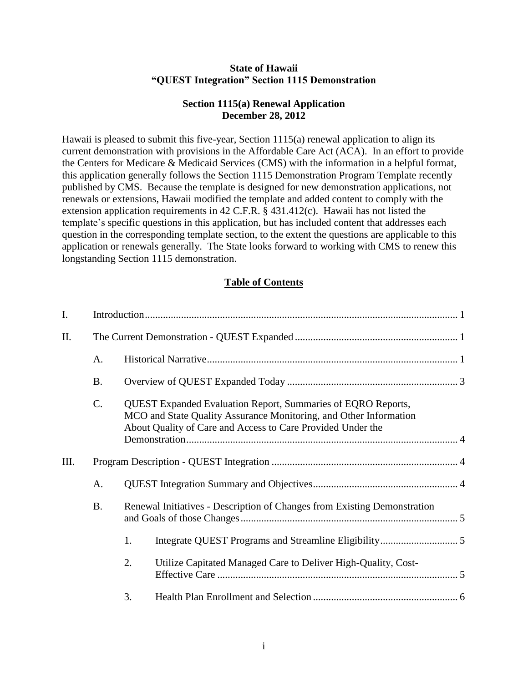#### **State of Hawaii "QUEST Integration" Section 1115 Demonstration**

#### **Section 1115(a) Renewal Application December 28, 2012**

Hawaii is pleased to submit this five-year, Section 1115(a) renewal application to align its current demonstration with provisions in the Affordable Care Act (ACA). In an effort to provide the Centers for Medicare & Medicaid Services (CMS) with the information in a helpful format, this application generally follows the Section 1115 Demonstration Program Template recently published by CMS. Because the template is designed for new demonstration applications, not renewals or extensions, Hawaii modified the template and added content to comply with the extension application requirements in 42 C.F.R. § 431.412(c). Hawaii has not listed the template's specific questions in this application, but has included content that addresses each question in the corresponding template section, to the extent the questions are applicable to this application or renewals generally. The State looks forward to working with CMS to renew this longstanding Section 1115 demonstration.

#### **Table of Contents**

| I.   |           |                                                                                                                                                                                                         |                                                                          |  |  |
|------|-----------|---------------------------------------------------------------------------------------------------------------------------------------------------------------------------------------------------------|--------------------------------------------------------------------------|--|--|
| II.  |           |                                                                                                                                                                                                         |                                                                          |  |  |
|      | A.        |                                                                                                                                                                                                         |                                                                          |  |  |
|      | <b>B.</b> |                                                                                                                                                                                                         |                                                                          |  |  |
|      | C.        | <b>QUEST Expanded Evaluation Report, Summaries of EQRO Reports,</b><br>MCO and State Quality Assurance Monitoring, and Other Information<br>About Quality of Care and Access to Care Provided Under the |                                                                          |  |  |
| III. |           |                                                                                                                                                                                                         |                                                                          |  |  |
|      | A.        |                                                                                                                                                                                                         |                                                                          |  |  |
|      | <b>B.</b> |                                                                                                                                                                                                         | Renewal Initiatives - Description of Changes from Existing Demonstration |  |  |
|      |           | 1.                                                                                                                                                                                                      |                                                                          |  |  |
|      |           | 2.                                                                                                                                                                                                      | Utilize Capitated Managed Care to Deliver High-Quality, Cost-            |  |  |
|      |           | 3.                                                                                                                                                                                                      |                                                                          |  |  |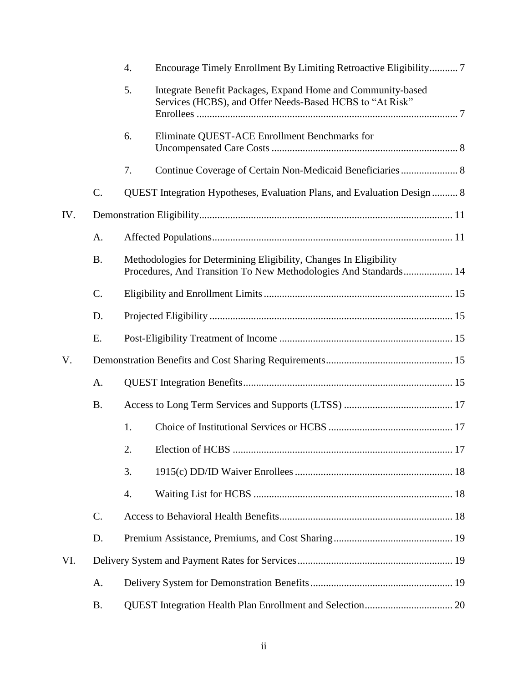|     |           | 4. | Encourage Timely Enrollment By Limiting Retroactive Eligibility 7                                                                     |  |
|-----|-----------|----|---------------------------------------------------------------------------------------------------------------------------------------|--|
|     |           | 5. | Integrate Benefit Packages, Expand Home and Community-based<br>Services (HCBS), and Offer Needs-Based HCBS to "At Risk"               |  |
|     |           | 6. | Eliminate QUEST-ACE Enrollment Benchmarks for                                                                                         |  |
|     |           | 7. | Continue Coverage of Certain Non-Medicaid Beneficiaries 8                                                                             |  |
|     | C.        |    | QUEST Integration Hypotheses, Evaluation Plans, and Evaluation Design  8                                                              |  |
| IV. |           |    |                                                                                                                                       |  |
|     | A.        |    |                                                                                                                                       |  |
|     | <b>B.</b> |    | Methodologies for Determining Eligibility, Changes In Eligibility<br>Procedures, And Transition To New Methodologies And Standards 14 |  |
|     | C.        |    |                                                                                                                                       |  |
|     | D.        |    |                                                                                                                                       |  |
|     | E.        |    |                                                                                                                                       |  |
| V.  |           |    |                                                                                                                                       |  |
|     | A.        |    |                                                                                                                                       |  |
|     | <b>B.</b> |    |                                                                                                                                       |  |
|     |           | 1. |                                                                                                                                       |  |
|     |           | 2. |                                                                                                                                       |  |
|     |           | 3. |                                                                                                                                       |  |
|     |           | 4. |                                                                                                                                       |  |
|     | $C$ .     |    |                                                                                                                                       |  |
|     | D.        |    |                                                                                                                                       |  |
| VI. |           |    |                                                                                                                                       |  |
|     | A.        |    |                                                                                                                                       |  |
|     | <b>B.</b> |    |                                                                                                                                       |  |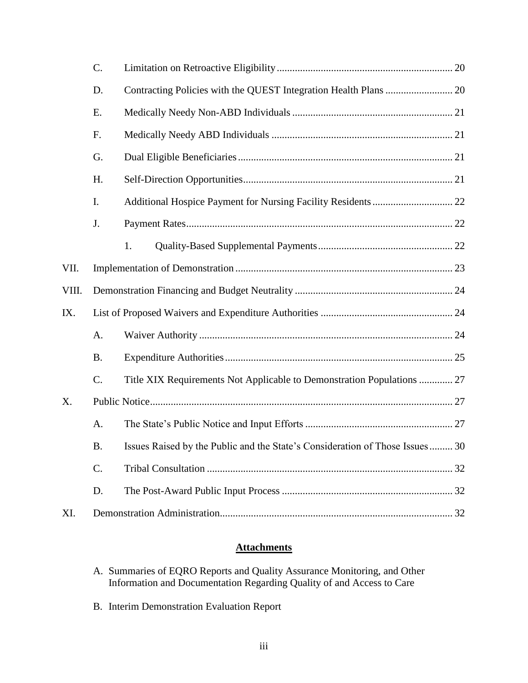|       | C.        |                                                                              |  |  |  |
|-------|-----------|------------------------------------------------------------------------------|--|--|--|
|       | D.        |                                                                              |  |  |  |
|       | E.        |                                                                              |  |  |  |
|       | F.        |                                                                              |  |  |  |
|       | G.        |                                                                              |  |  |  |
|       | H.        |                                                                              |  |  |  |
|       | I.        |                                                                              |  |  |  |
|       | J.        |                                                                              |  |  |  |
|       |           | 1.                                                                           |  |  |  |
| VII.  |           |                                                                              |  |  |  |
| VIII. |           |                                                                              |  |  |  |
| IX.   |           |                                                                              |  |  |  |
|       | A.        |                                                                              |  |  |  |
|       | <b>B.</b> |                                                                              |  |  |  |
|       | C.        | Title XIX Requirements Not Applicable to Demonstration Populations  27       |  |  |  |
| Х.    |           |                                                                              |  |  |  |
|       | Α.        |                                                                              |  |  |  |
|       | <b>B.</b> | Issues Raised by the Public and the State's Consideration of Those Issues 30 |  |  |  |
|       | C.        |                                                                              |  |  |  |
|       | D.        |                                                                              |  |  |  |
| XI.   |           |                                                                              |  |  |  |

# **Attachments**

- A. Summaries of EQRO Reports and Quality Assurance Monitoring, and Other Information and Documentation Regarding Quality of and Access to Care
- B. Interim Demonstration Evaluation Report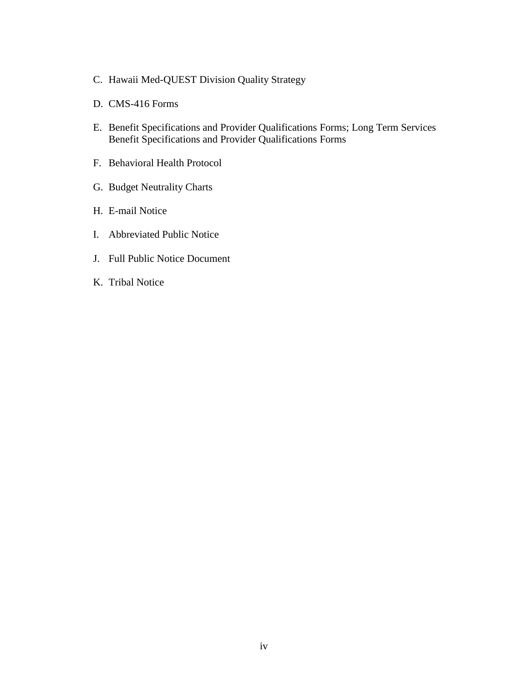- C. Hawaii Med-QUEST Division Quality Strategy
- D. CMS-416 Forms
- E. Benefit Specifications and Provider Qualifications Forms; Long Term Services Benefit Specifications and Provider Qualifications Forms
- F. Behavioral Health Protocol
- G. Budget Neutrality Charts
- H. E-mail Notice
- I. Abbreviated Public Notice
- J. Full Public Notice Document
- K. Tribal Notice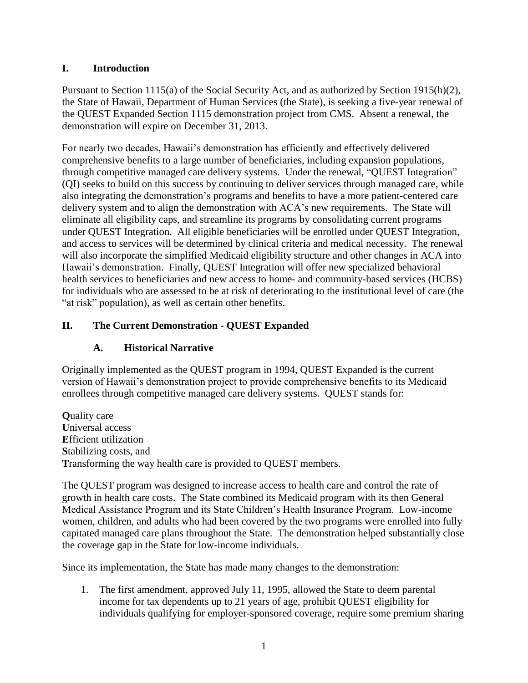#### <span id="page-4-0"></span>**I. Introduction**

Pursuant to Section 1115(a) of the Social Security Act, and as authorized by Section 1915(h)(2), the State of Hawaii, Department of Human Services (the State), is seeking a five-year renewal of the QUEST Expanded Section 1115 demonstration project from CMS. Absent a renewal, the demonstration will expire on December 31, 2013.

For nearly two decades, Hawaii's demonstration has efficiently and effectively delivered comprehensive benefits to a large number of beneficiaries, including expansion populations, through competitive managed care delivery systems. Under the renewal, "QUEST Integration" (QI) seeks to build on this success by continuing to deliver services through managed care, while also integrating the demonstration's programs and benefits to have a more patient-centered care delivery system and to align the demonstration with ACA's new requirements. The State will eliminate all eligibility caps, and streamline its programs by consolidating current programs under QUEST Integration. All eligible beneficiaries will be enrolled under QUEST Integration, and access to services will be determined by clinical criteria and medical necessity. The renewal will also incorporate the simplified Medicaid eligibility structure and other changes in ACA into Hawaii's demonstration. Finally, QUEST Integration will offer new specialized behavioral health services to beneficiaries and new access to home- and community-based services (HCBS) for individuals who are assessed to be at risk of deteriorating to the institutional level of care (the "at risk" population), as well as certain other benefits.

## <span id="page-4-2"></span><span id="page-4-1"></span>**II. The Current Demonstration - QUEST Expanded**

## **A. Historical Narrative**

Originally implemented as the QUEST program in 1994, QUEST Expanded is the current version of Hawaii's demonstration project to provide comprehensive benefits to its Medicaid enrollees through competitive managed care delivery systems. QUEST stands for:

**Q**uality care **U**niversal access **E**fficient utilization **S**tabilizing costs, and **T**ransforming the way health care is provided to QUEST members.

The QUEST program was designed to increase access to health care and control the rate of growth in health care costs. The State combined its Medicaid program with its then General Medical Assistance Program and its State Children's Health Insurance Program. Low-income women, children, and adults who had been covered by the two programs were enrolled into fully capitated managed care plans throughout the State. The demonstration helped substantially close the coverage gap in the State for low-income individuals.

Since its implementation, the State has made many changes to the demonstration:

1. The first amendment, approved July 11, 1995, allowed the State to deem parental income for tax dependents up to 21 years of age, prohibit QUEST eligibility for individuals qualifying for employer-sponsored coverage, require some premium sharing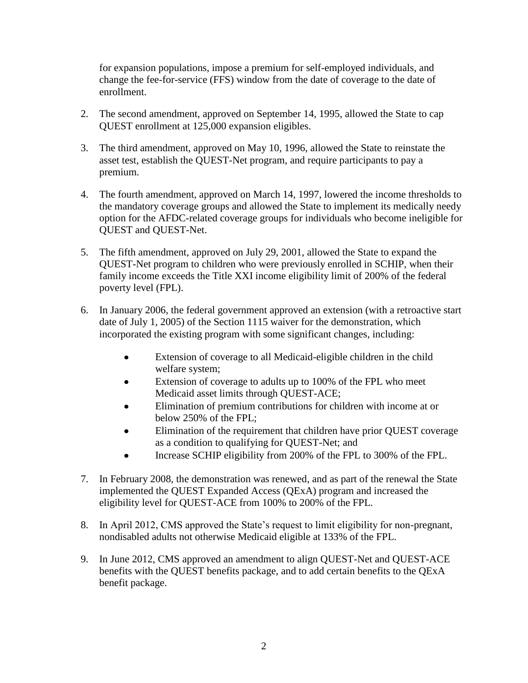for expansion populations, impose a premium for self-employed individuals, and change the fee-for-service (FFS) window from the date of coverage to the date of enrollment.

- 2. The second amendment, approved on September 14, 1995, allowed the State to cap QUEST enrollment at 125,000 expansion eligibles.
- 3. The third amendment, approved on May 10, 1996, allowed the State to reinstate the asset test, establish the QUEST-Net program, and require participants to pay a premium.
- 4. The fourth amendment, approved on March 14, 1997, lowered the income thresholds to the mandatory coverage groups and allowed the State to implement its medically needy option for the AFDC-related coverage groups for individuals who become ineligible for QUEST and QUEST-Net.
- 5. The fifth amendment, approved on July 29, 2001, allowed the State to expand the QUEST-Net program to children who were previously enrolled in SCHIP, when their family income exceeds the Title XXI income eligibility limit of 200% of the federal poverty level (FPL).
- 6. In January 2006, the federal government approved an extension (with a retroactive start date of July 1, 2005) of the Section 1115 waiver for the demonstration, which incorporated the existing program with some significant changes, including:
	- Extension of coverage to all Medicaid-eligible children in the child  $\bullet$ welfare system;
	- Extension of coverage to adults up to 100% of the FPL who meet  $\bullet$ Medicaid asset limits through QUEST-ACE;
	- Elimination of premium contributions for children with income at or below 250% of the FPL;
	- Elimination of the requirement that children have prior QUEST coverage as a condition to qualifying for QUEST-Net; and
	- Increase SCHIP eligibility from 200% of the FPL to 300% of the FPL.  $\bullet$
- 7. In February 2008, the demonstration was renewed, and as part of the renewal the State implemented the QUEST Expanded Access (QExA) program and increased the eligibility level for QUEST-ACE from 100% to 200% of the FPL.
- 8. In April 2012, CMS approved the State's request to limit eligibility for non-pregnant, nondisabled adults not otherwise Medicaid eligible at 133% of the FPL.
- 9. In June 2012, CMS approved an amendment to align QUEST-Net and QUEST-ACE benefits with the QUEST benefits package, and to add certain benefits to the QExA benefit package.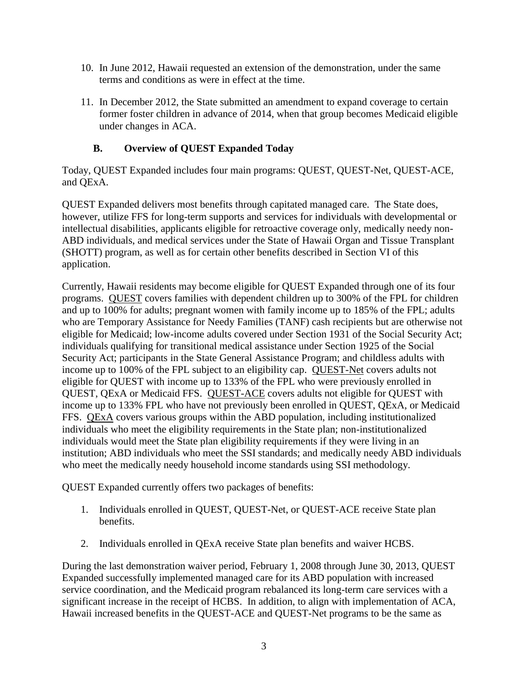- 10. In June 2012, Hawaii requested an extension of the demonstration, under the same terms and conditions as were in effect at the time.
- 11. In December 2012, the State submitted an amendment to expand coverage to certain former foster children in advance of 2014, when that group becomes Medicaid eligible under changes in ACA.

#### **B. Overview of QUEST Expanded Today**

<span id="page-6-0"></span>Today, QUEST Expanded includes four main programs: QUEST, QUEST-Net, QUEST-ACE, and QExA.

QUEST Expanded delivers most benefits through capitated managed care. The State does, however, utilize FFS for long-term supports and services for individuals with developmental or intellectual disabilities, applicants eligible for retroactive coverage only, medically needy non-ABD individuals, and medical services under the State of Hawaii Organ and Tissue Transplant (SHOTT) program, as well as for certain other benefits described in Section VI of this application.

Currently, Hawaii residents may become eligible for QUEST Expanded through one of its four programs. QUEST covers families with dependent children up to 300% of the FPL for children and up to 100% for adults; pregnant women with family income up to 185% of the FPL; adults who are Temporary Assistance for Needy Families (TANF) cash recipients but are otherwise not eligible for Medicaid; low-income adults covered under Section 1931 of the Social Security Act; individuals qualifying for transitional medical assistance under Section 1925 of the Social Security Act; participants in the State General Assistance Program; and childless adults with income up to 100% of the FPL subject to an eligibility cap. QUEST-Net covers adults not eligible for QUEST with income up to 133% of the FPL who were previously enrolled in QUEST, QExA or Medicaid FFS. QUEST-ACE covers adults not eligible for QUEST with income up to 133% FPL who have not previously been enrolled in QUEST, QExA, or Medicaid FFS. QExA covers various groups within the ABD population, including institutionalized individuals who meet the eligibility requirements in the State plan; non-institutionalized individuals would meet the State plan eligibility requirements if they were living in an institution; ABD individuals who meet the SSI standards; and medically needy ABD individuals who meet the medically needy household income standards using SSI methodology.

QUEST Expanded currently offers two packages of benefits:

- 1. Individuals enrolled in QUEST, QUEST-Net, or QUEST-ACE receive State plan benefits.
- 2. Individuals enrolled in QExA receive State plan benefits and waiver HCBS.

During the last demonstration waiver period, February 1, 2008 through June 30, 2013, QUEST Expanded successfully implemented managed care for its ABD population with increased service coordination, and the Medicaid program rebalanced its long-term care services with a significant increase in the receipt of HCBS. In addition, to align with implementation of ACA, Hawaii increased benefits in the QUEST-ACE and QUEST-Net programs to be the same as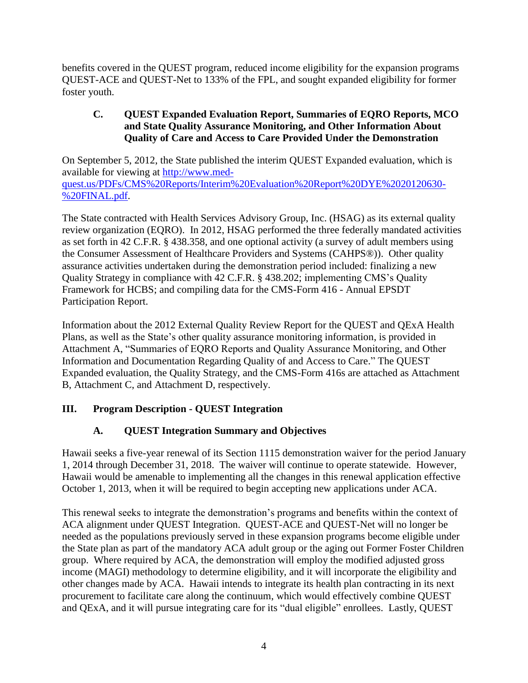benefits covered in the QUEST program, reduced income eligibility for the expansion programs QUEST-ACE and QUEST-Net to 133% of the FPL, and sought expanded eligibility for former foster youth.

#### <span id="page-7-0"></span>**C. QUEST Expanded Evaluation Report, Summaries of EQRO Reports, MCO and State Quality Assurance Monitoring, and Other Information About Quality of Care and Access to Care Provided Under the Demonstration**

On September 5, 2012, the State published the interim QUEST Expanded evaluation, which is available for viewing at [http://www.med](http://www.med-quest.us/PDFs/CMS%20Reports/Interim%20Evaluation%20Report%20DYE%2020120630-%20FINAL.pdf)[quest.us/PDFs/CMS%20Reports/Interim%20Evaluation%20Report%20DYE%2020120630-](http://www.med-quest.us/PDFs/CMS%20Reports/Interim%20Evaluation%20Report%20DYE%2020120630-%20FINAL.pdf) [%20FINAL.pdf.](http://www.med-quest.us/PDFs/CMS%20Reports/Interim%20Evaluation%20Report%20DYE%2020120630-%20FINAL.pdf)

The State contracted with Health Services Advisory Group, Inc. (HSAG) as its external quality review organization (EQRO). In 2012, HSAG performed the three federally mandated activities as set forth in 42 C.F.R. § 438.358, and one optional activity (a survey of adult members using the Consumer Assessment of Healthcare Providers and Systems (CAHPS®)). Other quality assurance activities undertaken during the demonstration period included: finalizing a new Quality Strategy in compliance with 42 C.F.R. § 438.202; implementing CMS's Quality Framework for HCBS; and compiling data for the CMS-Form 416 - Annual EPSDT Participation Report.

Information about the 2012 External Quality Review Report for the QUEST and QExA Health Plans, as well as the State's other quality assurance monitoring information, is provided in Attachment A, "Summaries of EQRO Reports and Quality Assurance Monitoring, and Other Information and Documentation Regarding Quality of and Access to Care." The QUEST Expanded evaluation, the Quality Strategy, and the CMS-Form 416s are attached as Attachment B, Attachment C, and Attachment D, respectively.

# <span id="page-7-1"></span>**III. Program Description - QUEST Integration**

# **A. QUEST Integration Summary and Objectives**

<span id="page-7-2"></span>Hawaii seeks a five-year renewal of its Section 1115 demonstration waiver for the period January 1, 2014 through December 31, 2018. The waiver will continue to operate statewide. However, Hawaii would be amenable to implementing all the changes in this renewal application effective October 1, 2013, when it will be required to begin accepting new applications under ACA.

This renewal seeks to integrate the demonstration's programs and benefits within the context of ACA alignment under QUEST Integration. QUEST-ACE and QUEST-Net will no longer be needed as the populations previously served in these expansion programs become eligible under the State plan as part of the mandatory ACA adult group or the aging out Former Foster Children group. Where required by ACA, the demonstration will employ the modified adjusted gross income (MAGI) methodology to determine eligibility, and it will incorporate the eligibility and other changes made by ACA. Hawaii intends to integrate its health plan contracting in its next procurement to facilitate care along the continuum, which would effectively combine QUEST and QExA, and it will pursue integrating care for its "dual eligible" enrollees. Lastly, QUEST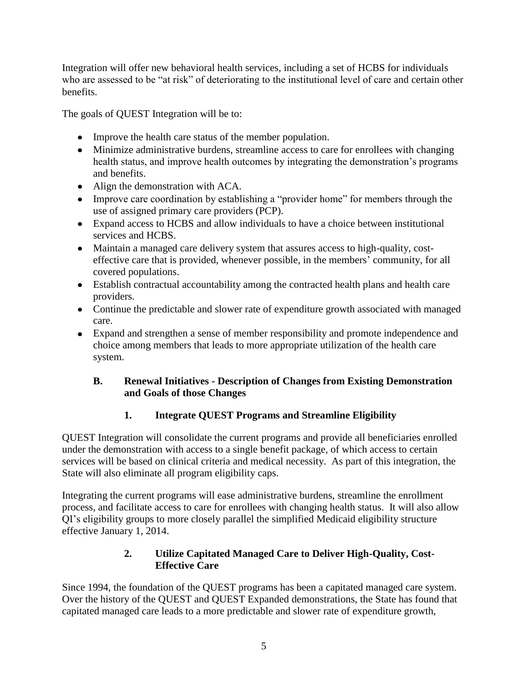Integration will offer new behavioral health services, including a set of HCBS for individuals who are assessed to be "at risk" of deteriorating to the institutional level of care and certain other benefits.

The goals of QUEST Integration will be to:

- Improve the health care status of the member population.
- Minimize administrative burdens, streamline access to care for enrollees with changing health status, and improve health outcomes by integrating the demonstration's programs and benefits.
- Align the demonstration with ACA.
- Improve care coordination by establishing a "provider home" for members through the use of assigned primary care providers (PCP).
- Expand access to HCBS and allow individuals to have a choice between institutional services and HCBS.
- Maintain a managed care delivery system that assures access to high-quality, costeffective care that is provided, whenever possible, in the members' community, for all covered populations.
- Establish contractual accountability among the contracted health plans and health care providers.
- Continue the predictable and slower rate of expenditure growth associated with managed care.
- Expand and strengthen a sense of member responsibility and promote independence and choice among members that leads to more appropriate utilization of the health care system.

## <span id="page-8-0"></span>**B. Renewal Initiatives - Description of Changes from Existing Demonstration and Goals of those Changes**

# **1. Integrate QUEST Programs and Streamline Eligibility**

<span id="page-8-1"></span>QUEST Integration will consolidate the current programs and provide all beneficiaries enrolled under the demonstration with access to a single benefit package, of which access to certain services will be based on clinical criteria and medical necessity. As part of this integration, the State will also eliminate all program eligibility caps.

Integrating the current programs will ease administrative burdens, streamline the enrollment process, and facilitate access to care for enrollees with changing health status. It will also allow QI's eligibility groups to more closely parallel the simplified Medicaid eligibility structure effective January 1, 2014.

# **2. Utilize Capitated Managed Care to Deliver High-Quality, Cost-Effective Care**

<span id="page-8-2"></span>Since 1994, the foundation of the QUEST programs has been a capitated managed care system. Over the history of the QUEST and QUEST Expanded demonstrations, the State has found that capitated managed care leads to a more predictable and slower rate of expenditure growth,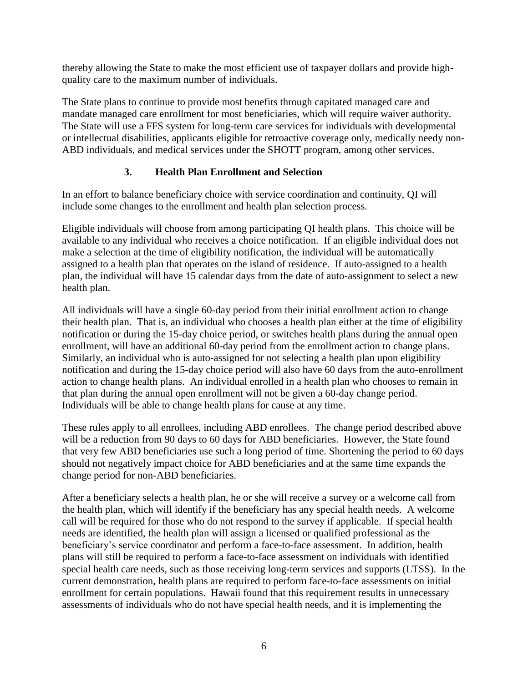thereby allowing the State to make the most efficient use of taxpayer dollars and provide highquality care to the maximum number of individuals.

The State plans to continue to provide most benefits through capitated managed care and mandate managed care enrollment for most beneficiaries, which will require waiver authority. The State will use a FFS system for long-term care services for individuals with developmental or intellectual disabilities, applicants eligible for retroactive coverage only, medically needy non-ABD individuals, and medical services under the SHOTT program, among other services.

# **3. Health Plan Enrollment and Selection**

<span id="page-9-0"></span>In an effort to balance beneficiary choice with service coordination and continuity, QI will include some changes to the enrollment and health plan selection process.

Eligible individuals will choose from among participating QI health plans. This choice will be available to any individual who receives a choice notification. If an eligible individual does not make a selection at the time of eligibility notification, the individual will be automatically assigned to a health plan that operates on the island of residence. If auto-assigned to a health plan, the individual will have 15 calendar days from the date of auto-assignment to select a new health plan.

All individuals will have a single 60-day period from their initial enrollment action to change their health plan. That is, an individual who chooses a health plan either at the time of eligibility notification or during the 15-day choice period, or switches health plans during the annual open enrollment, will have an additional 60-day period from the enrollment action to change plans. Similarly, an individual who is auto-assigned for not selecting a health plan upon eligibility notification and during the 15-day choice period will also have 60 days from the auto-enrollment action to change health plans. An individual enrolled in a health plan who chooses to remain in that plan during the annual open enrollment will not be given a 60-day change period. Individuals will be able to change health plans for cause at any time.

These rules apply to all enrollees, including ABD enrollees. The change period described above will be a reduction from 90 days to 60 days for ABD beneficiaries. However, the State found that very few ABD beneficiaries use such a long period of time. Shortening the period to 60 days should not negatively impact choice for ABD beneficiaries and at the same time expands the change period for non-ABD beneficiaries.

After a beneficiary selects a health plan, he or she will receive a survey or a welcome call from the health plan, which will identify if the beneficiary has any special health needs. A welcome call will be required for those who do not respond to the survey if applicable. If special health needs are identified, the health plan will assign a licensed or qualified professional as the beneficiary's service coordinator and perform a face-to-face assessment. In addition, health plans will still be required to perform a face-to-face assessment on individuals with identified special health care needs, such as those receiving long-term services and supports (LTSS). In the current demonstration, health plans are required to perform face-to-face assessments on initial enrollment for certain populations. Hawaii found that this requirement results in unnecessary assessments of individuals who do not have special health needs, and it is implementing the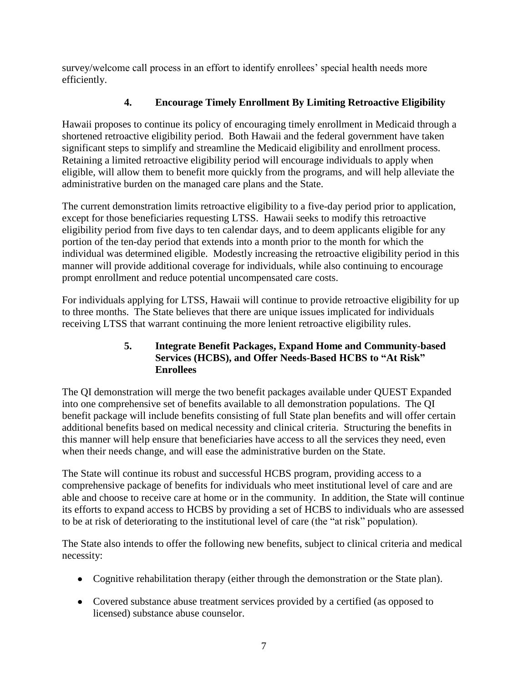survey/welcome call process in an effort to identify enrollees' special health needs more efficiently.

# **4. Encourage Timely Enrollment By Limiting Retroactive Eligibility**

<span id="page-10-0"></span>Hawaii proposes to continue its policy of encouraging timely enrollment in Medicaid through a shortened retroactive eligibility period. Both Hawaii and the federal government have taken significant steps to simplify and streamline the Medicaid eligibility and enrollment process. Retaining a limited retroactive eligibility period will encourage individuals to apply when eligible, will allow them to benefit more quickly from the programs, and will help alleviate the administrative burden on the managed care plans and the State.

The current demonstration limits retroactive eligibility to a five-day period prior to application, except for those beneficiaries requesting LTSS. Hawaii seeks to modify this retroactive eligibility period from five days to ten calendar days, and to deem applicants eligible for any portion of the ten-day period that extends into a month prior to the month for which the individual was determined eligible. Modestly increasing the retroactive eligibility period in this manner will provide additional coverage for individuals, while also continuing to encourage prompt enrollment and reduce potential uncompensated care costs.

For individuals applying for LTSS, Hawaii will continue to provide retroactive eligibility for up to three months. The State believes that there are unique issues implicated for individuals receiving LTSS that warrant continuing the more lenient retroactive eligibility rules.

#### **5. Integrate Benefit Packages, Expand Home and Community-based Services (HCBS), and Offer Needs-Based HCBS to "At Risk" Enrollees**

<span id="page-10-1"></span>The QI demonstration will merge the two benefit packages available under QUEST Expanded into one comprehensive set of benefits available to all demonstration populations. The QI benefit package will include benefits consisting of full State plan benefits and will offer certain additional benefits based on medical necessity and clinical criteria. Structuring the benefits in this manner will help ensure that beneficiaries have access to all the services they need, even when their needs change, and will ease the administrative burden on the State.

The State will continue its robust and successful HCBS program, providing access to a comprehensive package of benefits for individuals who meet institutional level of care and are able and choose to receive care at home or in the community. In addition, the State will continue its efforts to expand access to HCBS by providing a set of HCBS to individuals who are assessed to be at risk of deteriorating to the institutional level of care (the "at risk" population).

The State also intends to offer the following new benefits, subject to clinical criteria and medical necessity:

- Cognitive rehabilitation therapy (either through the demonstration or the State plan).
- Covered substance abuse treatment services provided by a certified (as opposed to licensed) substance abuse counselor.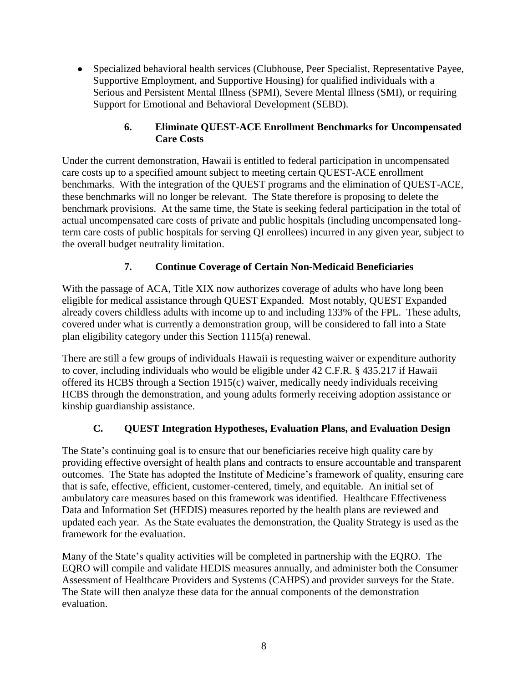Specialized behavioral health services (Clubhouse, Peer Specialist, Representative Payee, Supportive Employment, and Supportive Housing) for qualified individuals with a Serious and Persistent Mental Illness (SPMI), Severe Mental Illness (SMI), or requiring Support for Emotional and Behavioral Development (SEBD).

## **6. Eliminate QUEST-ACE Enrollment Benchmarks for Uncompensated Care Costs**

<span id="page-11-0"></span>Under the current demonstration, Hawaii is entitled to federal participation in uncompensated care costs up to a specified amount subject to meeting certain QUEST-ACE enrollment benchmarks. With the integration of the QUEST programs and the elimination of QUEST-ACE, these benchmarks will no longer be relevant. The State therefore is proposing to delete the benchmark provisions. At the same time, the State is seeking federal participation in the total of actual uncompensated care costs of private and public hospitals (including uncompensated longterm care costs of public hospitals for serving QI enrollees) incurred in any given year, subject to the overall budget neutrality limitation.

## **7. Continue Coverage of Certain Non-Medicaid Beneficiaries**

<span id="page-11-1"></span>With the passage of ACA, Title XIX now authorizes coverage of adults who have long been eligible for medical assistance through QUEST Expanded. Most notably, QUEST Expanded already covers childless adults with income up to and including 133% of the FPL. These adults, covered under what is currently a demonstration group, will be considered to fall into a State plan eligibility category under this Section 1115(a) renewal.

There are still a few groups of individuals Hawaii is requesting waiver or expenditure authority to cover, including individuals who would be eligible under 42 C.F.R. § 435.217 if Hawaii offered its HCBS through a Section 1915(c) waiver, medically needy individuals receiving HCBS through the demonstration, and young adults formerly receiving adoption assistance or kinship guardianship assistance.

# **C. QUEST Integration Hypotheses, Evaluation Plans, and Evaluation Design**

<span id="page-11-2"></span>The State's continuing goal is to ensure that our beneficiaries receive high quality care by providing effective oversight of health plans and contracts to ensure accountable and transparent outcomes. The State has adopted the Institute of Medicine's framework of quality, ensuring care that is safe, effective, efficient, customer-centered, timely, and equitable. An initial set of ambulatory care measures based on this framework was identified. Healthcare Effectiveness Data and Information Set (HEDIS) measures reported by the health plans are reviewed and updated each year. As the State evaluates the demonstration, the Quality Strategy is used as the framework for the evaluation.

Many of the State's quality activities will be completed in partnership with the EQRO. The EQRO will compile and validate HEDIS measures annually, and administer both the Consumer Assessment of Healthcare Providers and Systems (CAHPS) and provider surveys for the State. The State will then analyze these data for the annual components of the demonstration evaluation.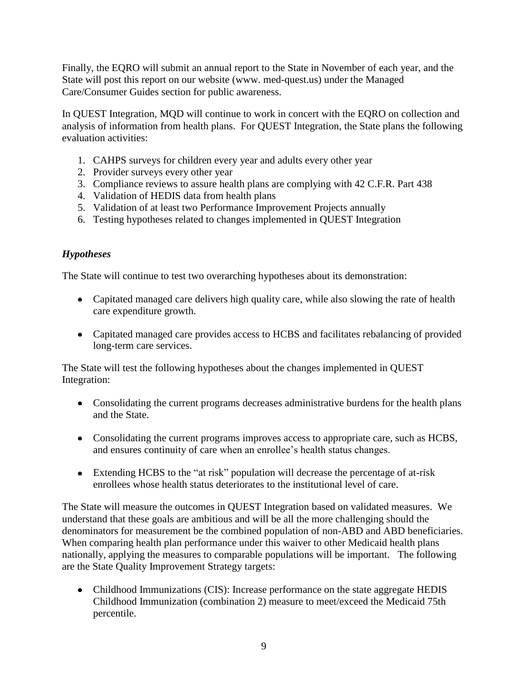Finally, the EQRO will submit an annual report to the State in November of each year, and the State will post this report on our website (www. med-quest.us) under the Managed Care/Consumer Guides section for public awareness.

In QUEST Integration, MQD will continue to work in concert with the EQRO on collection and analysis of information from health plans. For QUEST Integration, the State plans the following evaluation activities:

- 1. CAHPS surveys for children every year and adults every other year
- 2. Provider surveys every other year
- 3. Compliance reviews to assure health plans are complying with 42 C.F.R. Part 438
- 4. Validation of HEDIS data from health plans
- 5. Validation of at least two Performance Improvement Projects annually
- 6. Testing hypotheses related to changes implemented in QUEST Integration

## *Hypotheses*

The State will continue to test two overarching hypotheses about its demonstration:

- Capitated managed care delivers high quality care, while also slowing the rate of health care expenditure growth.
- Capitated managed care provides access to HCBS and facilitates rebalancing of provided long-term care services.

The State will test the following hypotheses about the changes implemented in QUEST Integration:

- Consolidating the current programs decreases administrative burdens for the health plans and the State.
- Consolidating the current programs improves access to appropriate care, such as HCBS, and ensures continuity of care when an enrollee's health status changes.
- Extending HCBS to the "at risk" population will decrease the percentage of at-risk enrollees whose health status deteriorates to the institutional level of care.

The State will measure the outcomes in QUEST Integration based on validated measures. We understand that these goals are ambitious and will be all the more challenging should the denominators for measurement be the combined population of non-ABD and ABD beneficiaries. When comparing health plan performance under this waiver to other Medicaid health plans nationally, applying the measures to comparable populations will be important. The following are the State Quality Improvement Strategy targets:

• Childhood Immunizations (CIS): Increase performance on the state aggregate HEDIS Childhood Immunization (combination 2) measure to meet/exceed the Medicaid 75th percentile.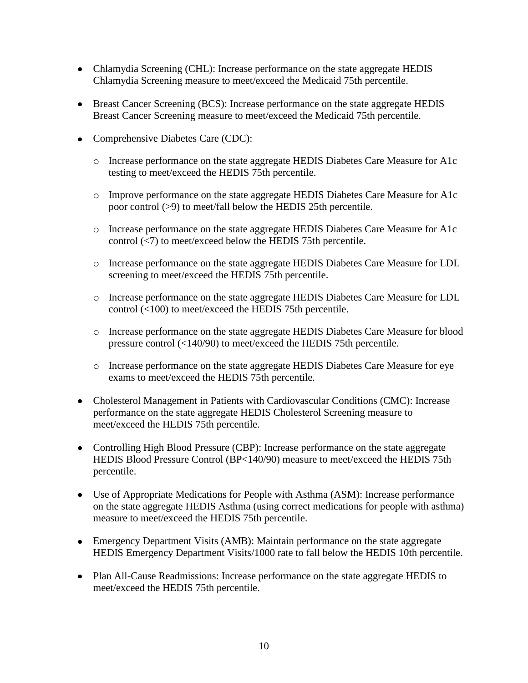- Chlamydia Screening (CHL): Increase performance on the state aggregate HEDIS Chlamydia Screening measure to meet/exceed the Medicaid 75th percentile.
- Breast Cancer Screening (BCS): Increase performance on the state aggregate HEDIS Breast Cancer Screening measure to meet/exceed the Medicaid 75th percentile.
- Comprehensive Diabetes Care (CDC):
	- o Increase performance on the state aggregate HEDIS Diabetes Care Measure for A1c testing to meet/exceed the HEDIS 75th percentile.
	- o Improve performance on the state aggregate HEDIS Diabetes Care Measure for A1c poor control (>9) to meet/fall below the HEDIS 25th percentile.
	- o Increase performance on the state aggregate HEDIS Diabetes Care Measure for A1c control (<7) to meet/exceed below the HEDIS 75th percentile.
	- o Increase performance on the state aggregate HEDIS Diabetes Care Measure for LDL screening to meet/exceed the HEDIS 75th percentile.
	- o Increase performance on the state aggregate HEDIS Diabetes Care Measure for LDL control (<100) to meet/exceed the HEDIS 75th percentile.
	- o Increase performance on the state aggregate HEDIS Diabetes Care Measure for blood pressure control (<140/90) to meet/exceed the HEDIS 75th percentile.
	- o Increase performance on the state aggregate HEDIS Diabetes Care Measure for eye exams to meet/exceed the HEDIS 75th percentile.
- Cholesterol Management in Patients with Cardiovascular Conditions (CMC): Increase performance on the state aggregate HEDIS Cholesterol Screening measure to meet/exceed the HEDIS 75th percentile.
- Controlling High Blood Pressure (CBP): Increase performance on the state aggregate HEDIS Blood Pressure Control (BP<140/90) measure to meet/exceed the HEDIS 75th percentile.
- Use of Appropriate Medications for People with Asthma (ASM): Increase performance on the state aggregate HEDIS Asthma (using correct medications for people with asthma) measure to meet/exceed the HEDIS 75th percentile.
- Emergency Department Visits (AMB): Maintain performance on the state aggregate HEDIS Emergency Department Visits/1000 rate to fall below the HEDIS 10th percentile.
- Plan All-Cause Readmissions: Increase performance on the state aggregate HEDIS to meet/exceed the HEDIS 75th percentile.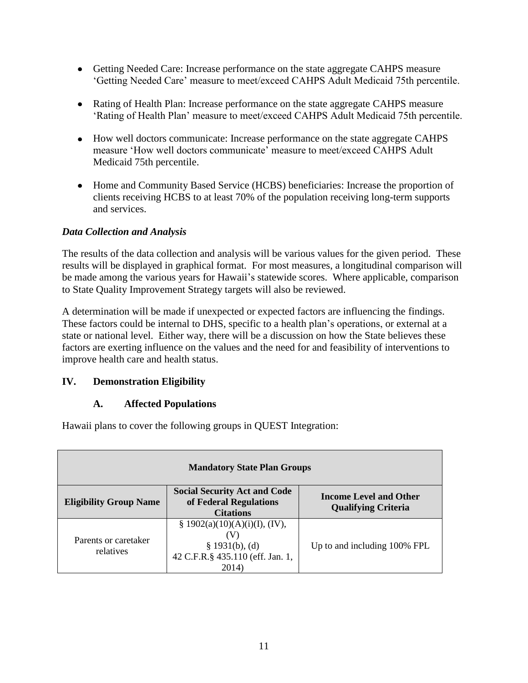- Getting Needed Care: Increase performance on the state aggregate CAHPS measure 'Getting Needed Care' measure to meet/exceed CAHPS Adult Medicaid 75th percentile.
- Rating of Health Plan: Increase performance on the state aggregate CAHPS measure 'Rating of Health Plan' measure to meet/exceed CAHPS Adult Medicaid 75th percentile.
- How well doctors communicate: Increase performance on the state aggregate CAHPS measure 'How well doctors communicate' measure to meet/exceed CAHPS Adult Medicaid 75th percentile.
- Home and Community Based Service (HCBS) beneficiaries: Increase the proportion of clients receiving HCBS to at least 70% of the population receiving long-term supports and services.

#### *Data Collection and Analysis*

The results of the data collection and analysis will be various values for the given period. These results will be displayed in graphical format. For most measures, a longitudinal comparison will be made among the various years for Hawaii's statewide scores. Where applicable, comparison to State Quality Improvement Strategy targets will also be reviewed.

A determination will be made if unexpected or expected factors are influencing the findings. These factors could be internal to DHS, specific to a health plan's operations, or external at a state or national level. Either way, there will be a discussion on how the State believes these factors are exerting influence on the values and the need for and feasibility of interventions to improve health care and health status.

#### <span id="page-14-0"></span>**IV. Demonstration Eligibility**

#### **A. Affected Populations**

<span id="page-14-1"></span>Hawaii plans to cover the following groups in QUEST Integration:

| <b>Mandatory State Plan Groups</b> |                                                                                                     |                                                             |  |  |
|------------------------------------|-----------------------------------------------------------------------------------------------------|-------------------------------------------------------------|--|--|
| <b>Eligibility Group Name</b>      | <b>Social Security Act and Code</b><br>of Federal Regulations<br><b>Citations</b>                   | <b>Income Level and Other</b><br><b>Qualifying Criteria</b> |  |  |
| Parents or caretaker<br>relatives  | § 1902(a)(10)(A)(i)(I), (IV),<br>(V)<br>§ 1931(b), (d)<br>42 C.F.R.§ 435.110 (eff. Jan. 1,<br>2014) | Up to and including 100% FPL                                |  |  |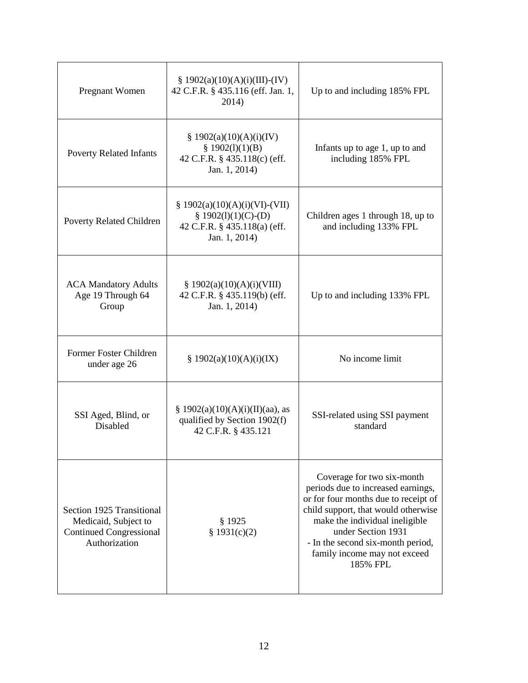| Pregnant Women                                                                                       | $\S$ 1902(a)(10)(A)(i)(III)-(IV)<br>42 C.F.R. § 435.116 (eff. Jan. 1,<br>2014)                            | Up to and including 185% FPL                                                                                                                                                                                                                                                             |  |
|------------------------------------------------------------------------------------------------------|-----------------------------------------------------------------------------------------------------------|------------------------------------------------------------------------------------------------------------------------------------------------------------------------------------------------------------------------------------------------------------------------------------------|--|
| <b>Poverty Related Infants</b>                                                                       | § $1902(a)(10)(A)(i)(IV)$<br>§ $1902(l)(1)(B)$<br>42 C.F.R. § 435.118(c) (eff.<br>Jan. 1, 2014)           | Infants up to age 1, up to and<br>including 185% FPL                                                                                                                                                                                                                                     |  |
| <b>Poverty Related Children</b>                                                                      | $$1902(a)(10)(A)(i)(VI)-(VII)$<br>§ $1902(l)(1)(C)- (D)$<br>42 C.F.R. § 435.118(a) (eff.<br>Jan. 1, 2014) | Children ages 1 through 18, up to<br>and including 133% FPL                                                                                                                                                                                                                              |  |
| <b>ACA Mandatory Adults</b><br>Age 19 Through 64<br>Group                                            | \$1902(a)(10)(A)(i)(VIII)<br>42 C.F.R. § 435.119(b) (eff.<br>Jan. 1, 2014)                                | Up to and including 133% FPL                                                                                                                                                                                                                                                             |  |
| Former Foster Children<br>under age 26                                                               | \$1902(a)(10)(A)(i)(IX)                                                                                   | No income limit                                                                                                                                                                                                                                                                          |  |
| SSI Aged, Blind, or<br>Disabled                                                                      | § 1902(a)(10)(A)(i)(II)(aa), as<br>qualified by Section 1902(f)<br>42 C.F.R. § 435.121                    | SSI-related using SSI payment<br>standard                                                                                                                                                                                                                                                |  |
| Section 1925 Transitional<br>Medicaid, Subject to<br><b>Continued Congressional</b><br>Authorization | \$1925<br>\$1931(c)(2)                                                                                    | Coverage for two six-month<br>periods due to increased earnings,<br>or for four months due to receipt of<br>child support, that would otherwise<br>make the individual ineligible<br>under Section 1931<br>- In the second six-month period,<br>family income may not exceed<br>185% FPL |  |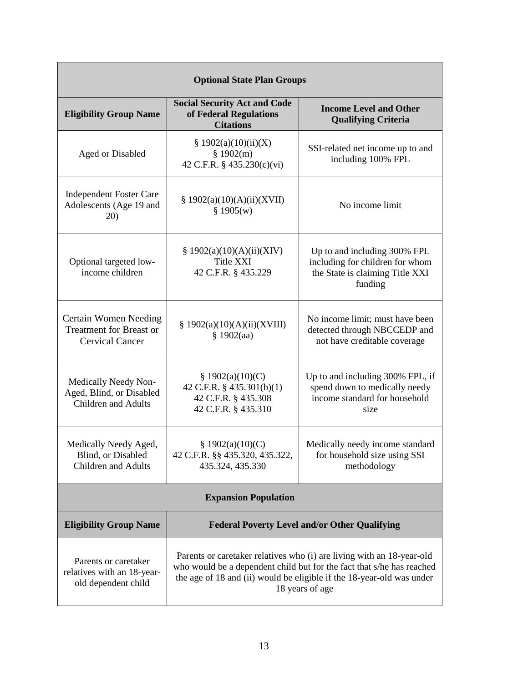| <b>Optional State Plan Groups</b>                                                        |                                                                                                                                                                                                                                            |                                                                                                               |  |  |
|------------------------------------------------------------------------------------------|--------------------------------------------------------------------------------------------------------------------------------------------------------------------------------------------------------------------------------------------|---------------------------------------------------------------------------------------------------------------|--|--|
| <b>Eligibility Group Name</b>                                                            | <b>Social Security Act and Code</b><br>of Federal Regulations<br><b>Citations</b>                                                                                                                                                          | <b>Income Level and Other</b><br><b>Qualifying Criteria</b>                                                   |  |  |
| Aged or Disabled                                                                         | \$1902(a)(10)(ii)(X)<br>\$1902(m)<br>42 C.F.R. § 435.230(c)(vi)                                                                                                                                                                            | SSI-related net income up to and<br>including 100% FPL                                                        |  |  |
| <b>Independent Foster Care</b><br>Adolescents (Age 19 and<br>20)                         | § 1902(a)(10)(A)(ii)(XVII)<br>\$1905(w)                                                                                                                                                                                                    | No income limit                                                                                               |  |  |
| Optional targeted low-<br>income children                                                | \$1902(a)(10)(A)(ii)(XIV)<br><b>Title XXI</b><br>42 C.F.R. § 435.229                                                                                                                                                                       | Up to and including 300% FPL<br>including for children for whom<br>the State is claiming Title XXI<br>funding |  |  |
| <b>Certain Women Needing</b><br><b>Treatment for Breast or</b><br><b>Cervical Cancer</b> | § 1902(a)(10)(A)(ii)(XVIII)<br>\$1902(aa)                                                                                                                                                                                                  | No income limit; must have been<br>detected through NBCCEDP and<br>not have creditable coverage               |  |  |
| Medically Needy Non-<br>Aged, Blind, or Disabled<br><b>Children and Adults</b>           | § $1902(a)(10)(C)$<br>42 C.F.R. § 435.301(b)(1)<br>42 C.F.R. § 435.308<br>42 C.F.R. § 435.310                                                                                                                                              | Up to and including 300% FPL, if<br>spend down to medically needy<br>income standard for household<br>size    |  |  |
| Medically Needy Aged,<br>Blind, or Disabled<br><b>Children</b> and Adults                | \$1902(a)(10)(C)<br>42 C.F.R. §§ 435.320, 435.322,<br>435.324, 435.330                                                                                                                                                                     | Medically needy income standard<br>for household size using SSI<br>methodology                                |  |  |
| <b>Expansion Population</b>                                                              |                                                                                                                                                                                                                                            |                                                                                                               |  |  |
| <b>Eligibility Group Name</b>                                                            |                                                                                                                                                                                                                                            | <b>Federal Poverty Level and/or Other Qualifying</b>                                                          |  |  |
| Parents or caretaker<br>relatives with an 18-year-<br>old dependent child                | Parents or caretaker relatives who (i) are living with an 18-year-old<br>who would be a dependent child but for the fact that s/he has reached<br>the age of 18 and (ii) would be eligible if the 18-year-old was under<br>18 years of age |                                                                                                               |  |  |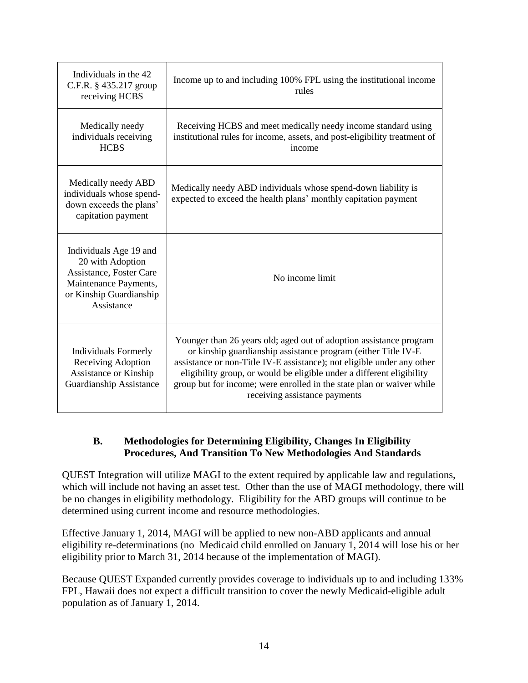| Individuals in the 42<br>C.F.R. § 435.217 group<br>receiving HCBS                                                                       | Income up to and including 100% FPL using the institutional income<br>rules                                                                                                                                                                                                                                                                                                                      |  |
|-----------------------------------------------------------------------------------------------------------------------------------------|--------------------------------------------------------------------------------------------------------------------------------------------------------------------------------------------------------------------------------------------------------------------------------------------------------------------------------------------------------------------------------------------------|--|
| Medically needy<br>individuals receiving<br><b>HCBS</b>                                                                                 | Receiving HCBS and meet medically needy income standard using<br>institutional rules for income, assets, and post-eligibility treatment of<br>income                                                                                                                                                                                                                                             |  |
| Medically needy ABD<br>individuals whose spend-<br>down exceeds the plans'<br>capitation payment                                        | Medically needy ABD individuals whose spend-down liability is<br>expected to exceed the health plans' monthly capitation payment                                                                                                                                                                                                                                                                 |  |
| Individuals Age 19 and<br>20 with Adoption<br>Assistance, Foster Care<br>Maintenance Payments,<br>or Kinship Guardianship<br>Assistance | No income limit                                                                                                                                                                                                                                                                                                                                                                                  |  |
| <b>Individuals Formerly</b><br>Receiving Adoption<br>Assistance or Kinship<br>Guardianship Assistance                                   | Younger than 26 years old; aged out of adoption assistance program<br>or kinship guardianship assistance program (either Title IV-E<br>assistance or non-Title IV-E assistance); not eligible under any other<br>eligibility group, or would be eligible under a different eligibility<br>group but for income; were enrolled in the state plan or waiver while<br>receiving assistance payments |  |

#### <span id="page-17-0"></span>**B. Methodologies for Determining Eligibility, Changes In Eligibility Procedures, And Transition To New Methodologies And Standards**

QUEST Integration will utilize MAGI to the extent required by applicable law and regulations, which will include not having an asset test. Other than the use of MAGI methodology, there will be no changes in eligibility methodology. Eligibility for the ABD groups will continue to be determined using current income and resource methodologies.

Effective January 1, 2014, MAGI will be applied to new non-ABD applicants and annual eligibility re-determinations (no Medicaid child enrolled on January 1, 2014 will lose his or her eligibility prior to March 31, 2014 because of the implementation of MAGI).

Because QUEST Expanded currently provides coverage to individuals up to and including 133% FPL, Hawaii does not expect a difficult transition to cover the newly Medicaid-eligible adult population as of January 1, 2014.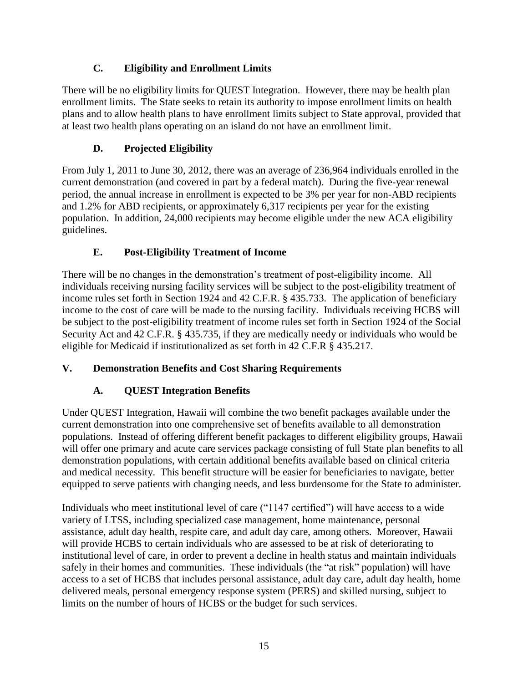# **C. Eligibility and Enrollment Limits**

<span id="page-18-0"></span>There will be no eligibility limits for QUEST Integration. However, there may be health plan enrollment limits. The State seeks to retain its authority to impose enrollment limits on health plans and to allow health plans to have enrollment limits subject to State approval, provided that at least two health plans operating on an island do not have an enrollment limit.

# **D. Projected Eligibility**

<span id="page-18-1"></span>From July 1, 2011 to June 30, 2012, there was an average of 236,964 individuals enrolled in the current demonstration (and covered in part by a federal match). During the five-year renewal period, the annual increase in enrollment is expected to be 3% per year for non-ABD recipients and 1.2% for ABD recipients, or approximately 6,317 recipients per year for the existing population. In addition, 24,000 recipients may become eligible under the new ACA eligibility guidelines.

# **E. Post-Eligibility Treatment of Income**

<span id="page-18-2"></span>There will be no changes in the demonstration's treatment of post-eligibility income. All individuals receiving nursing facility services will be subject to the post-eligibility treatment of income rules set forth in Section 1924 and 42 C.F.R. § 435.733. The application of beneficiary income to the cost of care will be made to the nursing facility. Individuals receiving HCBS will be subject to the post-eligibility treatment of income rules set forth in Section 1924 of the Social Security Act and 42 C.F.R. § 435.735, if they are medically needy or individuals who would be eligible for Medicaid if institutionalized as set forth in 42 C.F.R § 435.217.

## <span id="page-18-4"></span><span id="page-18-3"></span>**V. Demonstration Benefits and Cost Sharing Requirements**

# **A. QUEST Integration Benefits**

Under QUEST Integration, Hawaii will combine the two benefit packages available under the current demonstration into one comprehensive set of benefits available to all demonstration populations. Instead of offering different benefit packages to different eligibility groups, Hawaii will offer one primary and acute care services package consisting of full State plan benefits to all demonstration populations, with certain additional benefits available based on clinical criteria and medical necessity. This benefit structure will be easier for beneficiaries to navigate, better equipped to serve patients with changing needs, and less burdensome for the State to administer.

Individuals who meet institutional level of care ("1147 certified") will have access to a wide variety of LTSS, including specialized case management, home maintenance, personal assistance, adult day health, respite care, and adult day care, among others. Moreover, Hawaii will provide HCBS to certain individuals who are assessed to be at risk of deteriorating to institutional level of care, in order to prevent a decline in health status and maintain individuals safely in their homes and communities. These individuals (the "at risk" population) will have access to a set of HCBS that includes personal assistance, adult day care, adult day health, home delivered meals, personal emergency response system (PERS) and skilled nursing, subject to limits on the number of hours of HCBS or the budget for such services.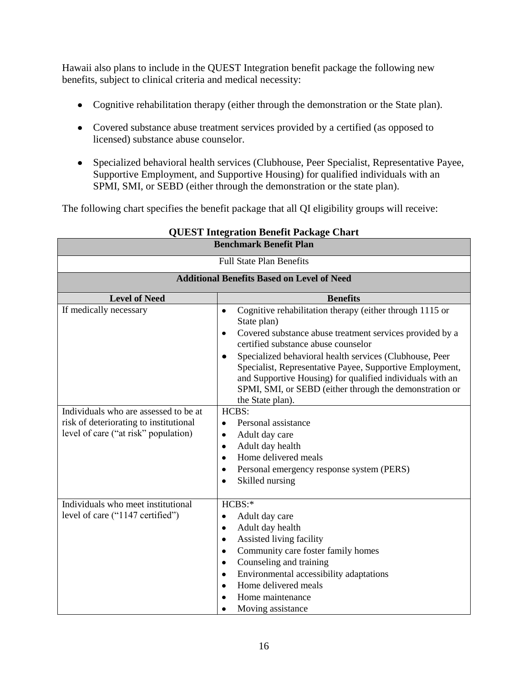Hawaii also plans to include in the QUEST Integration benefit package the following new benefits, subject to clinical criteria and medical necessity:

- Cognitive rehabilitation therapy (either through the demonstration or the State plan).
- Covered substance abuse treatment services provided by a certified (as opposed to licensed) substance abuse counselor.
- Specialized behavioral health services (Clubhouse, Peer Specialist, Representative Payee, Supportive Employment, and Supportive Housing) for qualified individuals with an SPMI, SMI, or SEBD (either through the demonstration or the state plan).

The following chart specifies the benefit package that all QI eligibility groups will receive:

| <b>Benchmark Benefit Plan</b>                     |                                                                                                                                                                                                                                                                              |  |  |
|---------------------------------------------------|------------------------------------------------------------------------------------------------------------------------------------------------------------------------------------------------------------------------------------------------------------------------------|--|--|
| <b>Full State Plan Benefits</b>                   |                                                                                                                                                                                                                                                                              |  |  |
| <b>Additional Benefits Based on Level of Need</b> |                                                                                                                                                                                                                                                                              |  |  |
| <b>Level of Need</b>                              | <b>Benefits</b>                                                                                                                                                                                                                                                              |  |  |
| If medically necessary                            | Cognitive rehabilitation therapy (either through 1115 or<br>$\bullet$<br>State plan)<br>Covered substance abuse treatment services provided by a<br>٠<br>certified substance abuse counselor                                                                                 |  |  |
|                                                   | Specialized behavioral health services (Clubhouse, Peer<br>$\bullet$<br>Specialist, Representative Payee, Supportive Employment,<br>and Supportive Housing) for qualified individuals with an<br>SPMI, SMI, or SEBD (either through the demonstration or<br>the State plan). |  |  |
| Individuals who are assessed to be at             | HCBS:                                                                                                                                                                                                                                                                        |  |  |
| risk of deteriorating to institutional            | Personal assistance<br>$\bullet$                                                                                                                                                                                                                                             |  |  |
| level of care ("at risk" population)              | Adult day care<br>$\bullet$                                                                                                                                                                                                                                                  |  |  |
|                                                   | Adult day health<br>$\bullet$                                                                                                                                                                                                                                                |  |  |
|                                                   | Home delivered meals<br>$\bullet$                                                                                                                                                                                                                                            |  |  |
|                                                   | Personal emergency response system (PERS)<br>$\bullet$<br>Skilled nursing<br>$\bullet$                                                                                                                                                                                       |  |  |
|                                                   |                                                                                                                                                                                                                                                                              |  |  |
| Individuals who meet institutional                | HCBS:                                                                                                                                                                                                                                                                        |  |  |
| level of care ("1147 certified")                  | Adult day care<br>$\bullet$                                                                                                                                                                                                                                                  |  |  |
|                                                   | Adult day health<br>$\bullet$                                                                                                                                                                                                                                                |  |  |
|                                                   | Assisted living facility<br>$\bullet$                                                                                                                                                                                                                                        |  |  |
|                                                   | Community care foster family homes<br>$\bullet$                                                                                                                                                                                                                              |  |  |
|                                                   | Counseling and training<br>$\bullet$                                                                                                                                                                                                                                         |  |  |
|                                                   | Environmental accessibility adaptations<br>$\bullet$                                                                                                                                                                                                                         |  |  |
|                                                   | Home delivered meals<br>$\bullet$                                                                                                                                                                                                                                            |  |  |
|                                                   | Home maintenance                                                                                                                                                                                                                                                             |  |  |
|                                                   | Moving assistance<br>٠                                                                                                                                                                                                                                                       |  |  |

# **QUEST Integration Benefit Package Chart**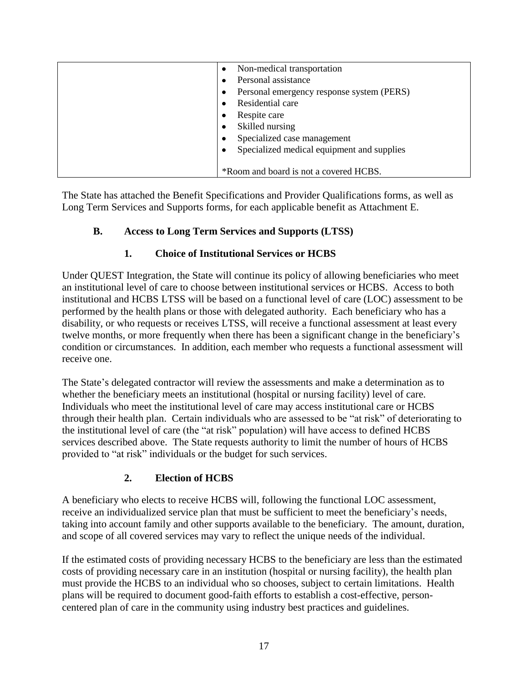| Non-medical transportation<br>$\bullet$         |
|-------------------------------------------------|
| Personal assistance                             |
| Personal emergency response system (PERS)<br>٠  |
| Residential care                                |
| Respite care<br>٠                               |
| Skilled nursing<br>٠                            |
| Specialized case management<br>٠                |
| Specialized medical equipment and supplies<br>٠ |
|                                                 |
| *Room and board is not a covered HCBS.          |

The State has attached the Benefit Specifications and Provider Qualifications forms, as well as Long Term Services and Supports forms, for each applicable benefit as Attachment E.

# <span id="page-20-0"></span>**B. Access to Long Term Services and Supports (LTSS)**

## **1. Choice of Institutional Services or HCBS**

<span id="page-20-1"></span>Under QUEST Integration, the State will continue its policy of allowing beneficiaries who meet an institutional level of care to choose between institutional services or HCBS. Access to both institutional and HCBS LTSS will be based on a functional level of care (LOC) assessment to be performed by the health plans or those with delegated authority. Each beneficiary who has a disability, or who requests or receives LTSS, will receive a functional assessment at least every twelve months, or more frequently when there has been a significant change in the beneficiary's condition or circumstances. In addition, each member who requests a functional assessment will receive one.

The State's delegated contractor will review the assessments and make a determination as to whether the beneficiary meets an institutional (hospital or nursing facility) level of care. Individuals who meet the institutional level of care may access institutional care or HCBS through their health plan. Certain individuals who are assessed to be "at risk" of deteriorating to the institutional level of care (the "at risk" population) will have access to defined HCBS services described above. The State requests authority to limit the number of hours of HCBS provided to "at risk" individuals or the budget for such services.

## **2. Election of HCBS**

<span id="page-20-2"></span>A beneficiary who elects to receive HCBS will, following the functional LOC assessment, receive an individualized service plan that must be sufficient to meet the beneficiary's needs, taking into account family and other supports available to the beneficiary. The amount, duration, and scope of all covered services may vary to reflect the unique needs of the individual.

If the estimated costs of providing necessary HCBS to the beneficiary are less than the estimated costs of providing necessary care in an institution (hospital or nursing facility), the health plan must provide the HCBS to an individual who so chooses, subject to certain limitations. Health plans will be required to document good-faith efforts to establish a cost-effective, personcentered plan of care in the community using industry best practices and guidelines.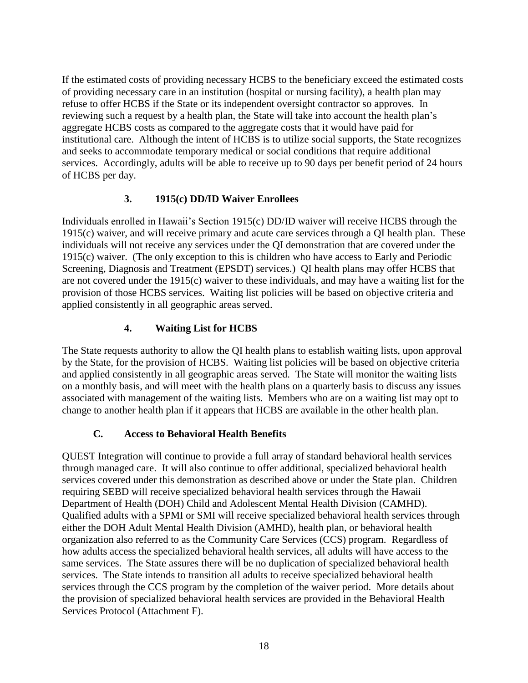If the estimated costs of providing necessary HCBS to the beneficiary exceed the estimated costs of providing necessary care in an institution (hospital or nursing facility), a health plan may refuse to offer HCBS if the State or its independent oversight contractor so approves. In reviewing such a request by a health plan, the State will take into account the health plan's aggregate HCBS costs as compared to the aggregate costs that it would have paid for institutional care. Although the intent of HCBS is to utilize social supports, the State recognizes and seeks to accommodate temporary medical or social conditions that require additional services. Accordingly, adults will be able to receive up to 90 days per benefit period of 24 hours of HCBS per day.

## **3. 1915(c) DD/ID Waiver Enrollees**

<span id="page-21-0"></span>Individuals enrolled in Hawaii's Section 1915(c) DD/ID waiver will receive HCBS through the 1915(c) waiver, and will receive primary and acute care services through a QI health plan. These individuals will not receive any services under the QI demonstration that are covered under the 1915(c) waiver. (The only exception to this is children who have access to Early and Periodic Screening, Diagnosis and Treatment (EPSDT) services.) QI health plans may offer HCBS that are not covered under the 1915(c) waiver to these individuals, and may have a waiting list for the provision of those HCBS services. Waiting list policies will be based on objective criteria and applied consistently in all geographic areas served.

## **4. Waiting List for HCBS**

<span id="page-21-1"></span>The State requests authority to allow the QI health plans to establish waiting lists, upon approval by the State, for the provision of HCBS. Waiting list policies will be based on objective criteria and applied consistently in all geographic areas served. The State will monitor the waiting lists on a monthly basis, and will meet with the health plans on a quarterly basis to discuss any issues associated with management of the waiting lists. Members who are on a waiting list may opt to change to another health plan if it appears that HCBS are available in the other health plan.

## **C. Access to Behavioral Health Benefits**

<span id="page-21-2"></span>QUEST Integration will continue to provide a full array of standard behavioral health services through managed care. It will also continue to offer additional, specialized behavioral health services covered under this demonstration as described above or under the State plan. Children requiring SEBD will receive specialized behavioral health services through the Hawaii Department of Health (DOH) Child and Adolescent Mental Health Division (CAMHD). Qualified adults with a SPMI or SMI will receive specialized behavioral health services through either the DOH Adult Mental Health Division (AMHD), health plan, or behavioral health organization also referred to as the Community Care Services (CCS) program. Regardless of how adults access the specialized behavioral health services, all adults will have access to the same services. The State assures there will be no duplication of specialized behavioral health services. The State intends to transition all adults to receive specialized behavioral health services through the CCS program by the completion of the waiver period. More details about the provision of specialized behavioral health services are provided in the Behavioral Health Services Protocol (Attachment F).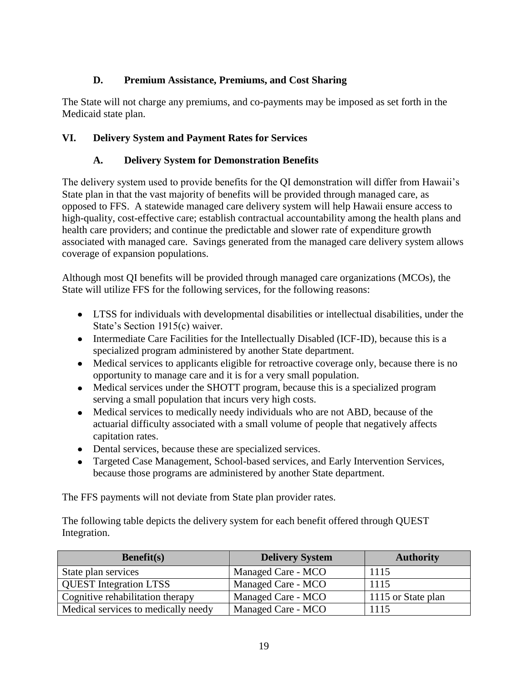# **D. Premium Assistance, Premiums, and Cost Sharing**

<span id="page-22-0"></span>The State will not charge any premiums, and co-payments may be imposed as set forth in the Medicaid state plan.

# <span id="page-22-2"></span><span id="page-22-1"></span>**VI. Delivery System and Payment Rates for Services**

# **A. Delivery System for Demonstration Benefits**

The delivery system used to provide benefits for the QI demonstration will differ from Hawaii's State plan in that the vast majority of benefits will be provided through managed care, as opposed to FFS. A statewide managed care delivery system will help Hawaii ensure access to high-quality, cost-effective care; establish contractual accountability among the health plans and health care providers; and continue the predictable and slower rate of expenditure growth associated with managed care. Savings generated from the managed care delivery system allows coverage of expansion populations.

Although most QI benefits will be provided through managed care organizations (MCOs), the State will utilize FFS for the following services, for the following reasons:

- LTSS for individuals with developmental disabilities or intellectual disabilities, under the State's Section 1915(c) waiver.
- Intermediate Care Facilities for the Intellectually Disabled (ICF-ID), because this is a specialized program administered by another State department.
- Medical services to applicants eligible for retroactive coverage only, because there is no opportunity to manage care and it is for a very small population.
- Medical services under the SHOTT program, because this is a specialized program serving a small population that incurs very high costs.
- Medical services to medically needy individuals who are not ABD, because of the actuarial difficulty associated with a small volume of people that negatively affects capitation rates.
- Dental services, because these are specialized services.
- Targeted Case Management, School-based services, and Early Intervention Services, because those programs are administered by another State department.

The FFS payments will not deviate from State plan provider rates.

The following table depicts the delivery system for each benefit offered through QUEST Integration.

| Benefit(s)                          | <b>Delivery System</b> | <b>Authority</b>   |
|-------------------------------------|------------------------|--------------------|
| State plan services                 | Managed Care - MCO     | 1115               |
| <b>QUEST</b> Integration LTSS       | Managed Care - MCO     | 1115               |
| Cognitive rehabilitation therapy    | Managed Care - MCO     | 1115 or State plan |
| Medical services to medically needy | Managed Care - MCO     | 1115               |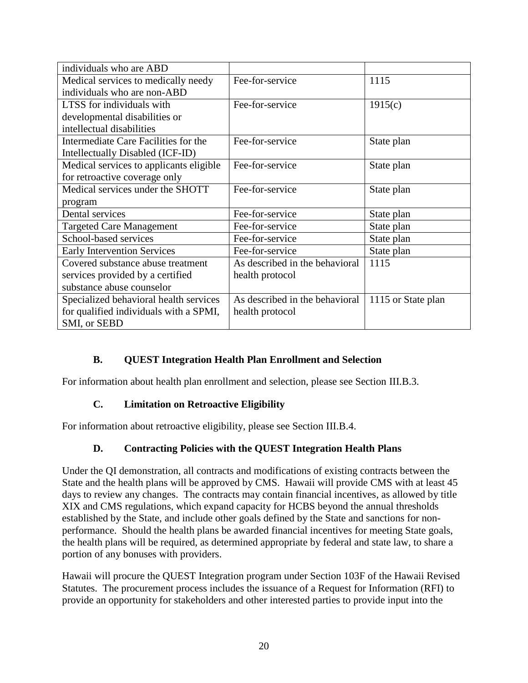| individuals who are ABD                 |                                |                    |
|-----------------------------------------|--------------------------------|--------------------|
| Medical services to medically needy     | Fee-for-service                | 1115               |
| individuals who are non-ABD             |                                |                    |
| LTSS for individuals with               | Fee-for-service                | 1915(c)            |
| developmental disabilities or           |                                |                    |
| intellectual disabilities               |                                |                    |
| Intermediate Care Facilities for the    | Fee-for-service                | State plan         |
| Intellectually Disabled (ICF-ID)        |                                |                    |
| Medical services to applicants eligible | Fee-for-service                | State plan         |
| for retroactive coverage only           |                                |                    |
| Medical services under the SHOTT        | Fee-for-service                | State plan         |
| program                                 |                                |                    |
| Dental services                         | Fee-for-service                | State plan         |
| <b>Targeted Care Management</b>         | Fee-for-service                | State plan         |
| School-based services                   | Fee-for-service                | State plan         |
| <b>Early Intervention Services</b>      | Fee-for-service                | State plan         |
| Covered substance abuse treatment       | As described in the behavioral | 1115               |
| services provided by a certified        | health protocol                |                    |
| substance abuse counselor               |                                |                    |
| Specialized behavioral health services  | As described in the behavioral | 1115 or State plan |
| for qualified individuals with a SPMI,  | health protocol                |                    |
| SMI, or SEBD                            |                                |                    |

## **B. QUEST Integration Health Plan Enrollment and Selection**

<span id="page-23-0"></span>For information about health plan enrollment and selection, please see Section [III.B.3.](#page-9-0)

#### **C. Limitation on Retroactive Eligibility**

<span id="page-23-1"></span>For information about retroactive eligibility, please see Section [III.B.4.](#page-10-0)

## **D. Contracting Policies with the QUEST Integration Health Plans**

<span id="page-23-2"></span>Under the QI demonstration, all contracts and modifications of existing contracts between the State and the health plans will be approved by CMS. Hawaii will provide CMS with at least 45 days to review any changes. The contracts may contain financial incentives, as allowed by title XIX and CMS regulations, which expand capacity for HCBS beyond the annual thresholds established by the State, and include other goals defined by the State and sanctions for nonperformance. Should the health plans be awarded financial incentives for meeting State goals, the health plans will be required, as determined appropriate by federal and state law, to share a portion of any bonuses with providers.

Hawaii will procure the QUEST Integration program under Section 103F of the Hawaii Revised Statutes. The procurement process includes the issuance of a Request for Information (RFI) to provide an opportunity for stakeholders and other interested parties to provide input into the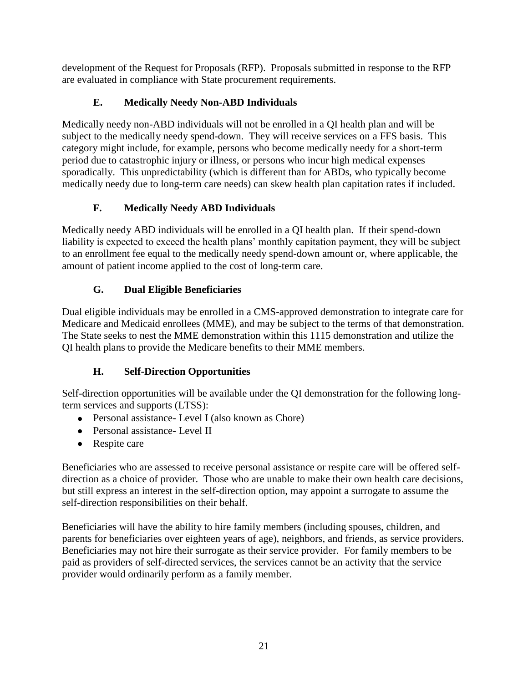development of the Request for Proposals (RFP). Proposals submitted in response to the RFP are evaluated in compliance with State procurement requirements.

# **E. Medically Needy Non-ABD Individuals**

<span id="page-24-0"></span>Medically needy non-ABD individuals will not be enrolled in a QI health plan and will be subject to the medically needy spend-down. They will receive services on a FFS basis. This category might include, for example, persons who become medically needy for a short-term period due to catastrophic injury or illness, or persons who incur high medical expenses sporadically. This unpredictability (which is different than for ABDs, who typically become medically needy due to long-term care needs) can skew health plan capitation rates if included.

# **F. Medically Needy ABD Individuals**

<span id="page-24-1"></span>Medically needy ABD individuals will be enrolled in a QI health plan. If their spend-down liability is expected to exceed the health plans' monthly capitation payment, they will be subject to an enrollment fee equal to the medically needy spend-down amount or, where applicable, the amount of patient income applied to the cost of long-term care.

# **G. Dual Eligible Beneficiaries**

<span id="page-24-2"></span>Dual eligible individuals may be enrolled in a CMS-approved demonstration to integrate care for Medicare and Medicaid enrollees (MME), and may be subject to the terms of that demonstration. The State seeks to nest the MME demonstration within this 1115 demonstration and utilize the QI health plans to provide the Medicare benefits to their MME members.

# **H. Self-Direction Opportunities**

<span id="page-24-3"></span>Self-direction opportunities will be available under the QI demonstration for the following longterm services and supports (LTSS):

- Personal assistance- Level I (also known as Chore)
- Personal assistance- Level II
- Respite care

Beneficiaries who are assessed to receive personal assistance or respite care will be offered selfdirection as a choice of provider. Those who are unable to make their own health care decisions, but still express an interest in the self-direction option, may appoint a surrogate to assume the self-direction responsibilities on their behalf.

Beneficiaries will have the ability to hire family members (including spouses, children, and parents for beneficiaries over eighteen years of age), neighbors, and friends, as service providers. Beneficiaries may not hire their surrogate as their service provider. For family members to be paid as providers of self-directed services, the services cannot be an activity that the service provider would ordinarily perform as a family member.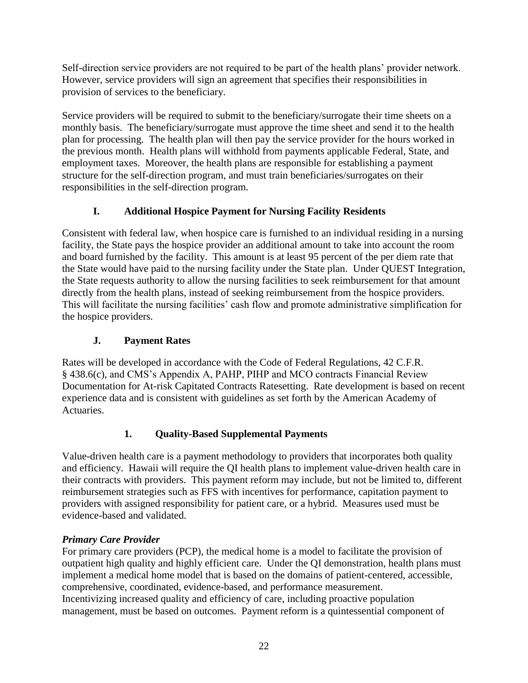Self-direction service providers are not required to be part of the health plans' provider network. However, service providers will sign an agreement that specifies their responsibilities in provision of services to the beneficiary.

Service providers will be required to submit to the beneficiary/surrogate their time sheets on a monthly basis. The beneficiary/surrogate must approve the time sheet and send it to the health plan for processing. The health plan will then pay the service provider for the hours worked in the previous month. Health plans will withhold from payments applicable Federal, State, and employment taxes. Moreover, the health plans are responsible for establishing a payment structure for the self-direction program, and must train beneficiaries/surrogates on their responsibilities in the self-direction program.

# **I. Additional Hospice Payment for Nursing Facility Residents**

<span id="page-25-0"></span>Consistent with federal law, when hospice care is furnished to an individual residing in a nursing facility, the State pays the hospice provider an additional amount to take into account the room and board furnished by the facility. This amount is at least 95 percent of the per diem rate that the State would have paid to the nursing facility under the State plan. Under QUEST Integration, the State requests authority to allow the nursing facilities to seek reimbursement for that amount directly from the health plans, instead of seeking reimbursement from the hospice providers. This will facilitate the nursing facilities' cash flow and promote administrative simplification for the hospice providers.

# **J. Payment Rates**

<span id="page-25-1"></span>Rates will be developed in accordance with the Code of Federal Regulations, 42 C.F.R. § 438.6(c), and CMS's Appendix A, PAHP, PIHP and MCO contracts Financial Review Documentation for At-risk Capitated Contracts Ratesetting. Rate development is based on recent experience data and is consistent with guidelines as set forth by the American Academy of **Actuaries.** 

# **1. Quality-Based Supplemental Payments**

<span id="page-25-2"></span>Value-driven health care is a payment methodology to providers that incorporates both quality and efficiency. Hawaii will require the QI health plans to implement value-driven health care in their contracts with providers. This payment reform may include, but not be limited to, different reimbursement strategies such as FFS with incentives for performance, capitation payment to providers with assigned responsibility for patient care, or a hybrid. Measures used must be evidence-based and validated.

## *Primary Care Provider*

For primary care providers (PCP), the medical home is a model to facilitate the provision of outpatient high quality and highly efficient care. Under the QI demonstration, health plans must implement a medical home model that is based on the domains of patient-centered, accessible, comprehensive, coordinated, evidence-based, and performance measurement. Incentivizing increased quality and efficiency of care, including proactive population management, must be based on outcomes. Payment reform is a quintessential component of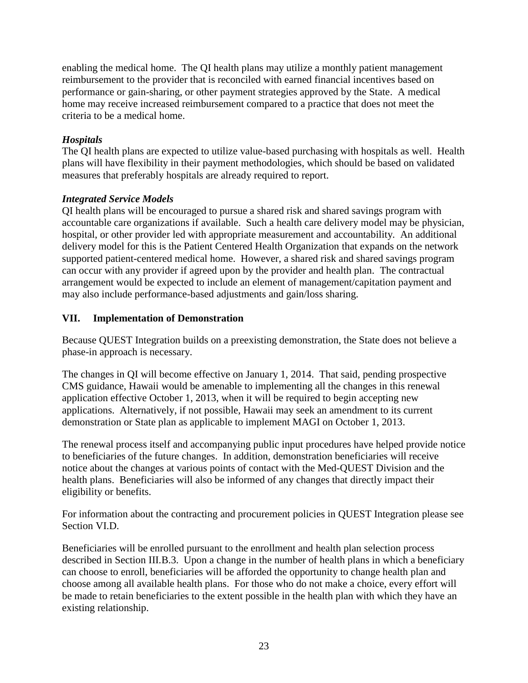enabling the medical home. The QI health plans may utilize a monthly patient management reimbursement to the provider that is reconciled with earned financial incentives based on performance or gain-sharing, or other payment strategies approved by the State. A medical home may receive increased reimbursement compared to a practice that does not meet the criteria to be a medical home.

#### *Hospitals*

The QI health plans are expected to utilize value-based purchasing with hospitals as well. Health plans will have flexibility in their payment methodologies, which should be based on validated measures that preferably hospitals are already required to report.

#### *Integrated Service Models*

QI health plans will be encouraged to pursue a shared risk and shared savings program with accountable care organizations if available. Such a health care delivery model may be physician, hospital, or other provider led with appropriate measurement and accountability. An additional delivery model for this is the Patient Centered Health Organization that expands on the network supported patient-centered medical home. However, a shared risk and shared savings program can occur with any provider if agreed upon by the provider and health plan. The contractual arrangement would be expected to include an element of management/capitation payment and may also include performance-based adjustments and gain/loss sharing.

#### <span id="page-26-0"></span>**VII. Implementation of Demonstration**

Because QUEST Integration builds on a preexisting demonstration, the State does not believe a phase-in approach is necessary.

The changes in QI will become effective on January 1, 2014. That said, pending prospective CMS guidance, Hawaii would be amenable to implementing all the changes in this renewal application effective October 1, 2013, when it will be required to begin accepting new applications. Alternatively, if not possible, Hawaii may seek an amendment to its current demonstration or State plan as applicable to implement MAGI on October 1, 2013.

The renewal process itself and accompanying public input procedures have helped provide notice to beneficiaries of the future changes. In addition, demonstration beneficiaries will receive notice about the changes at various points of contact with the Med-QUEST Division and the health plans. Beneficiaries will also be informed of any changes that directly impact their eligibility or benefits.

For information about the contracting and procurement policies in QUEST Integration please see Section [VI.D.](#page-23-2)

Beneficiaries will be enrolled pursuant to the enrollment and health plan selection process described in Section [III.B.3.](#page-9-0) Upon a change in the number of health plans in which a beneficiary can choose to enroll, beneficiaries will be afforded the opportunity to change health plan and choose among all available health plans. For those who do not make a choice, every effort will be made to retain beneficiaries to the extent possible in the health plan with which they have an existing relationship.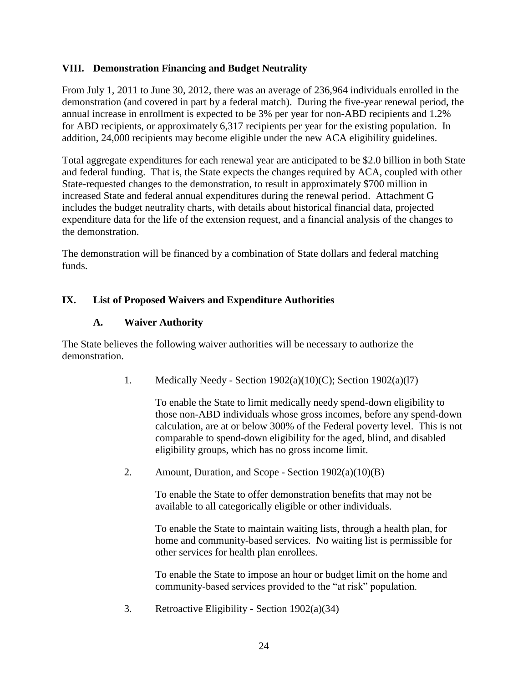#### <span id="page-27-0"></span>**VIII. Demonstration Financing and Budget Neutrality**

From July 1, 2011 to June 30, 2012, there was an average of 236,964 individuals enrolled in the demonstration (and covered in part by a federal match). During the five-year renewal period, the annual increase in enrollment is expected to be 3% per year for non-ABD recipients and 1.2% for ABD recipients, or approximately 6,317 recipients per year for the existing population. In addition, 24,000 recipients may become eligible under the new ACA eligibility guidelines.

Total aggregate expenditures for each renewal year are anticipated to be \$2.0 billion in both State and federal funding. That is, the State expects the changes required by ACA, coupled with other State-requested changes to the demonstration, to result in approximately \$700 million in increased State and federal annual expenditures during the renewal period. Attachment G includes the budget neutrality charts, with details about historical financial data, projected expenditure data for the life of the extension request, and a financial analysis of the changes to the demonstration.

The demonstration will be financed by a combination of State dollars and federal matching funds.

#### <span id="page-27-2"></span><span id="page-27-1"></span>**IX. List of Proposed Waivers and Expenditure Authorities**

#### **A. Waiver Authority**

The State believes the following waiver authorities will be necessary to authorize the demonstration.

1. Medically Needy - Section 1902(a)(10)(C); Section 1902(a)(l7)

To enable the State to limit medically needy spend-down eligibility to those non-ABD individuals whose gross incomes, before any spend-down calculation, are at or below 300% of the Federal poverty level. This is not comparable to spend-down eligibility for the aged, blind, and disabled eligibility groups, which has no gross income limit.

2. Amount, Duration, and Scope - Section 1902(a)(10)(B)

To enable the State to offer demonstration benefits that may not be available to all categorically eligible or other individuals.

To enable the State to maintain waiting lists, through a health plan, for home and community-based services. No waiting list is permissible for other services for health plan enrollees.

To enable the State to impose an hour or budget limit on the home and community-based services provided to the "at risk" population.

3. Retroactive Eligibility - Section 1902(a)(34)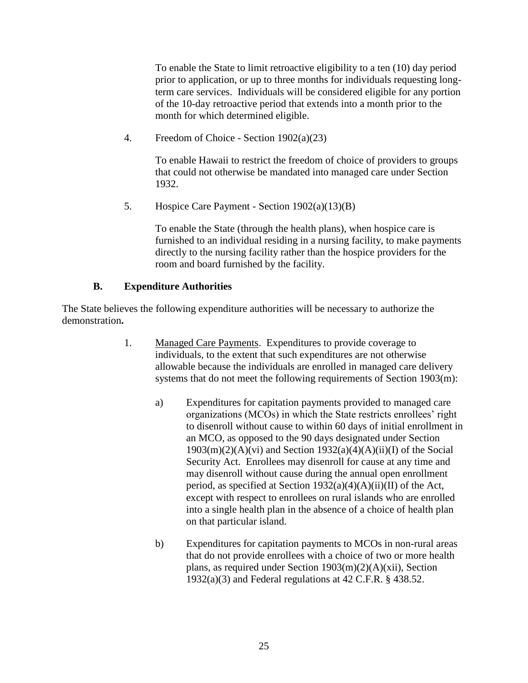To enable the State to limit retroactive eligibility to a ten (10) day period prior to application, or up to three months for individuals requesting longterm care services. Individuals will be considered eligible for any portion of the 10-day retroactive period that extends into a month prior to the month for which determined eligible.

4. Freedom of Choice - Section 1902(a)(23)

To enable Hawaii to restrict the freedom of choice of providers to groups that could not otherwise be mandated into managed care under Section 1932.

5. Hospice Care Payment - Section 1902(a)(13)(B)

To enable the State (through the health plans), when hospice care is furnished to an individual residing in a nursing facility, to make payments directly to the nursing facility rather than the hospice providers for the room and board furnished by the facility.

#### **B. Expenditure Authorities**

<span id="page-28-0"></span>The State believes the following expenditure authorities will be necessary to authorize the demonstration**.**

- 1. Managed Care Payments. Expenditures to provide coverage to individuals, to the extent that such expenditures are not otherwise allowable because the individuals are enrolled in managed care delivery systems that do not meet the following requirements of Section 1903(m):
	- a) Expenditures for capitation payments provided to managed care organizations (MCOs) in which the State restricts enrollees' right to disenroll without cause to within 60 days of initial enrollment in an MCO, as opposed to the 90 days designated under Section  $1903(m)(2)(A)(vi)$  and Section  $1932(a)(4)(A)(ii)(I)$  of the Social Security Act. Enrollees may disenroll for cause at any time and may disenroll without cause during the annual open enrollment period, as specified at Section  $1932(a)(4)(A)(ii)(II)$  of the Act, except with respect to enrollees on rural islands who are enrolled into a single health plan in the absence of a choice of health plan on that particular island.
	- b) Expenditures for capitation payments to MCOs in non-rural areas that do not provide enrollees with a choice of two or more health plans, as required under Section 1903(m)(2)(A)(xii), Section  $1932(a)(3)$  and Federal regulations at 42 C.F.R. § 438.52.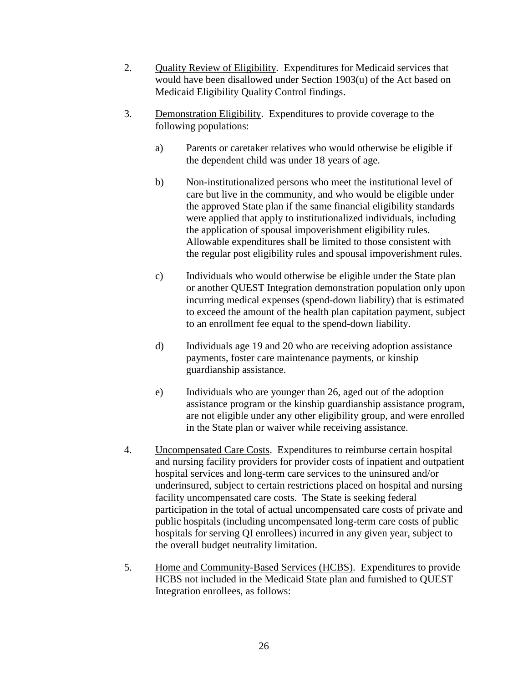- 2. Ouality Review of Eligibility. Expenditures for Medicaid services that would have been disallowed under Section 1903(u) of the Act based on Medicaid Eligibility Quality Control findings.
- 3. Demonstration Eligibility. Expenditures to provide coverage to the following populations:
	- a) Parents or caretaker relatives who would otherwise be eligible if the dependent child was under 18 years of age.
	- b) Non-institutionalized persons who meet the institutional level of care but live in the community, and who would be eligible under the approved State plan if the same financial eligibility standards were applied that apply to institutionalized individuals, including the application of spousal impoverishment eligibility rules. Allowable expenditures shall be limited to those consistent with the regular post eligibility rules and spousal impoverishment rules.
	- c) Individuals who would otherwise be eligible under the State plan or another QUEST Integration demonstration population only upon incurring medical expenses (spend-down liability) that is estimated to exceed the amount of the health plan capitation payment, subject to an enrollment fee equal to the spend-down liability.
	- d) Individuals age 19 and 20 who are receiving adoption assistance payments, foster care maintenance payments, or kinship guardianship assistance.
	- e) Individuals who are younger than 26, aged out of the adoption assistance program or the kinship guardianship assistance program, are not eligible under any other eligibility group, and were enrolled in the State plan or waiver while receiving assistance.
- 4. Uncompensated Care Costs. Expenditures to reimburse certain hospital and nursing facility providers for provider costs of inpatient and outpatient hospital services and long-term care services to the uninsured and/or underinsured, subject to certain restrictions placed on hospital and nursing facility uncompensated care costs. The State is seeking federal participation in the total of actual uncompensated care costs of private and public hospitals (including uncompensated long-term care costs of public hospitals for serving QI enrollees) incurred in any given year, subject to the overall budget neutrality limitation.
- 5. Home and Community-Based Services (HCBS). Expenditures to provide HCBS not included in the Medicaid State plan and furnished to QUEST Integration enrollees, as follows: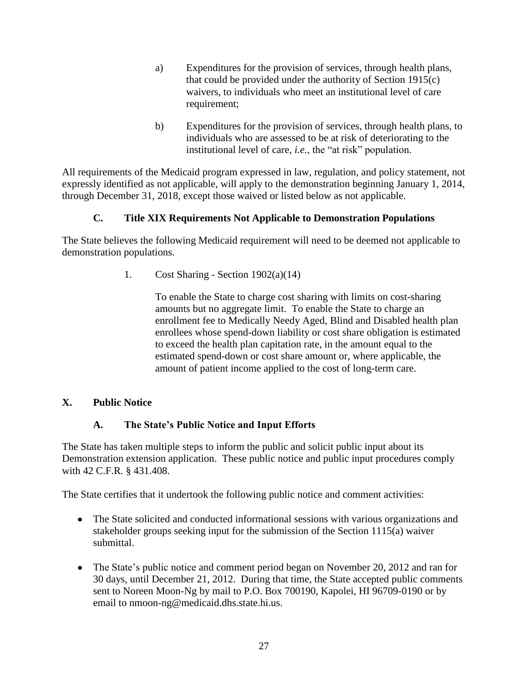- a) Expenditures for the provision of services, through health plans, that could be provided under the authority of Section 1915(c) waivers, to individuals who meet an institutional level of care requirement;
- b) Expenditures for the provision of services, through health plans, to individuals who are assessed to be at risk of deteriorating to the institutional level of care, *i.e.*, the "at risk" population.

All requirements of the Medicaid program expressed in law, regulation, and policy statement, not expressly identified as not applicable, will apply to the demonstration beginning January 1, 2014, through December 31, 2018, except those waived or listed below as not applicable.

## **C. Title XIX Requirements Not Applicable to Demonstration Populations**

<span id="page-30-0"></span>The State believes the following Medicaid requirement will need to be deemed not applicable to demonstration populations.

1. Cost Sharing - Section 1902(a)(14)

To enable the State to charge cost sharing with limits on cost-sharing amounts but no aggregate limit. To enable the State to charge an enrollment fee to Medically Needy Aged, Blind and Disabled health plan enrollees whose spend-down liability or cost share obligation is estimated to exceed the health plan capitation rate, in the amount equal to the estimated spend-down or cost share amount or, where applicable, the amount of patient income applied to the cost of long-term care.

## <span id="page-30-1"></span>**X. Public Notice**

## **A. The State's Public Notice and Input Efforts**

<span id="page-30-2"></span>The State has taken multiple steps to inform the public and solicit public input about its Demonstration extension application. These public notice and public input procedures comply with 42 C.F.R. § 431.408.

The State certifies that it undertook the following public notice and comment activities:

- The State solicited and conducted informational sessions with various organizations and  $\bullet$ stakeholder groups seeking input for the submission of the Section 1115(a) waiver submittal.
- The State's public notice and comment period began on November 20, 2012 and ran for 30 days, until December 21, 2012. During that time, the State accepted public comments sent to Noreen Moon-Ng by mail to P.O. Box 700190, Kapolei, HI 96709-0190 or by email to nmoon-ng@medicaid.dhs.state.hi.us.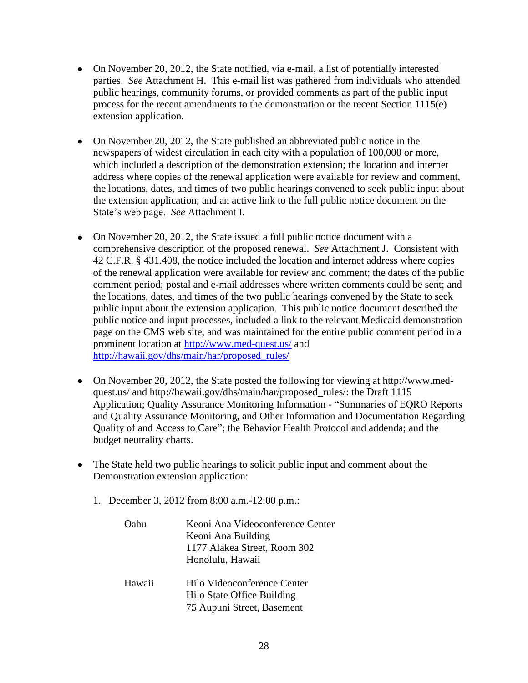- On November 20, 2012, the State notified, via e-mail, a list of potentially interested parties. *See* Attachment H. This e-mail list was gathered from individuals who attended public hearings, community forums, or provided comments as part of the public input process for the recent amendments to the demonstration or the recent Section 1115(e) extension application.
- On November 20, 2012, the State published an abbreviated public notice in the newspapers of widest circulation in each city with a population of 100,000 or more, which included a description of the demonstration extension; the location and internet address where copies of the renewal application were available for review and comment, the locations, dates, and times of two public hearings convened to seek public input about the extension application; and an active link to the full public notice document on the State's web page. *See* Attachment I.
- On November 20, 2012, the State issued a full public notice document with a comprehensive description of the proposed renewal. *See* Attachment J. Consistent with 42 C.F.R. § 431.408, the notice included the location and internet address where copies of the renewal application were available for review and comment; the dates of the public comment period; postal and e-mail addresses where written comments could be sent; and the locations, dates, and times of the two public hearings convened by the State to seek public input about the extension application. This public notice document described the public notice and input processes, included a link to the relevant Medicaid demonstration page on the CMS web site, and was maintained for the entire public comment period in a prominent location at [http://www.med-quest.us/](http://www.medi-quest,us/) and [http://hawaii.gov/dhs/main/har/proposed\\_rules/](http://hawaii.gov/dhs/main/har/proposed_rules/)
- On November 20, 2012, the State posted the following for viewing at http://www.medquest.us/ and http://hawaii.gov/dhs/main/har/proposed\_rules/: the Draft 1115 Application; Quality Assurance Monitoring Information - "Summaries of EQRO Reports and Quality Assurance Monitoring, and Other Information and Documentation Regarding Quality of and Access to Care"; the Behavior Health Protocol and addenda; and the budget neutrality charts.
- The State held two public hearings to solicit public input and comment about the Demonstration extension application:
	- 1. December 3, 2012 from 8:00 a.m.-12:00 p.m.:

| Oahu   | Keoni Ana Videoconference Center<br>Keoni Ana Building<br>1177 Alakea Street, Room 302<br>Honolulu, Hawaii |
|--------|------------------------------------------------------------------------------------------------------------|
| Hawaii | Hilo Videoconference Center<br>Hilo State Office Building<br>75 Aupuni Street, Basement                    |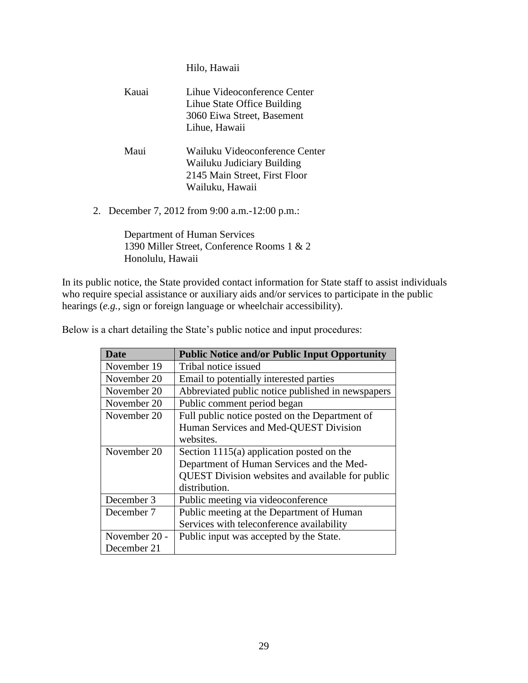Hilo, Hawaii

|  | Kauai | Lihue Videoconference Center                    |
|--|-------|-------------------------------------------------|
|  |       | Lihue State Office Building                     |
|  |       | 3060 Eiwa Street, Basement                      |
|  |       | Lihue, Hawaii                                   |
|  | Maui  | Wailuku Videoconference Center                  |
|  |       | Wailuku Judiciary Building                      |
|  |       | 2145 Main Street, First Floor                   |
|  |       | Wailuku, Hawaii                                 |
|  |       | 2. December 7, 2012 from 9:00 a.m. -12:00 p.m.: |

Department of Human Services 1390 Miller Street, Conference Rooms 1 & 2 Honolulu, Hawaii

In its public notice, the State provided contact information for State staff to assist individuals who require special assistance or auxiliary aids and/or services to participate in the public hearings (*e.g.*, sign or foreign language or wheelchair accessibility).

Below is a chart detailing the State's public notice and input procedures:

| <b>Date</b>   | <b>Public Notice and/or Public Input Opportunity</b> |
|---------------|------------------------------------------------------|
| November 19   | Tribal notice issued                                 |
| November 20   | Email to potentially interested parties              |
| November 20   | Abbreviated public notice published in newspapers    |
| November 20   | Public comment period began                          |
| November 20   | Full public notice posted on the Department of       |
|               | Human Services and Med-QUEST Division                |
|               | websites.                                            |
| November 20   | Section $1115(a)$ application posted on the          |
|               | Department of Human Services and the Med-            |
|               | QUEST Division websites and available for public     |
|               | distribution.                                        |
| December 3    | Public meeting via videoconference                   |
| December 7    | Public meeting at the Department of Human            |
|               | Services with teleconference availability            |
| November 20 - | Public input was accepted by the State.              |
| December 21   |                                                      |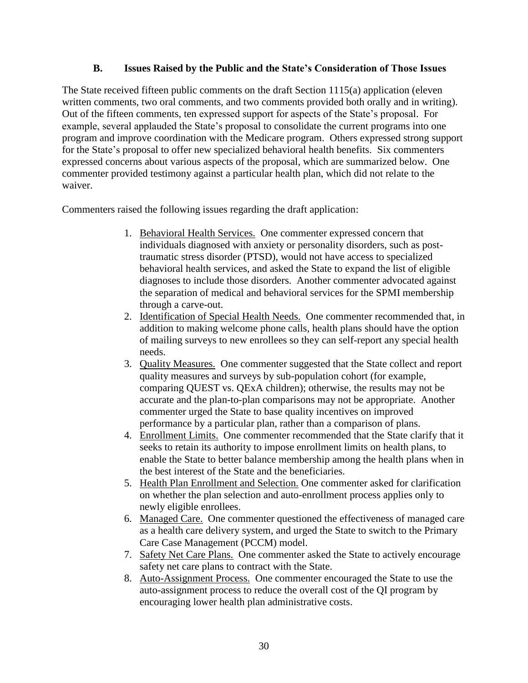#### **B. Issues Raised by the Public and the State's Consideration of Those Issues**

<span id="page-33-0"></span>The State received fifteen public comments on the draft Section 1115(a) application (eleven written comments, two oral comments, and two comments provided both orally and in writing). Out of the fifteen comments, ten expressed support for aspects of the State's proposal. For example, several applauded the State's proposal to consolidate the current programs into one program and improve coordination with the Medicare program. Others expressed strong support for the State's proposal to offer new specialized behavioral health benefits. Six commenters expressed concerns about various aspects of the proposal, which are summarized below. One commenter provided testimony against a particular health plan, which did not relate to the waiver.

Commenters raised the following issues regarding the draft application:

- 1. Behavioral Health Services. One commenter expressed concern that individuals diagnosed with anxiety or personality disorders, such as posttraumatic stress disorder (PTSD), would not have access to specialized behavioral health services, and asked the State to expand the list of eligible diagnoses to include those disorders. Another commenter advocated against the separation of medical and behavioral services for the SPMI membership through a carve-out.
- 2. Identification of Special Health Needs. One commenter recommended that, in addition to making welcome phone calls, health plans should have the option of mailing surveys to new enrollees so they can self-report any special health needs.
- 3. Quality Measures. One commenter suggested that the State collect and report quality measures and surveys by sub-population cohort (for example, comparing QUEST vs. QExA children); otherwise, the results may not be accurate and the plan-to-plan comparisons may not be appropriate. Another commenter urged the State to base quality incentives on improved performance by a particular plan, rather than a comparison of plans.
- 4. Enrollment Limits. One commenter recommended that the State clarify that it seeks to retain its authority to impose enrollment limits on health plans, to enable the State to better balance membership among the health plans when in the best interest of the State and the beneficiaries.
- 5. Health Plan Enrollment and Selection. One commenter asked for clarification on whether the plan selection and auto-enrollment process applies only to newly eligible enrollees.
- 6. Managed Care. One commenter questioned the effectiveness of managed care as a health care delivery system, and urged the State to switch to the Primary Care Case Management (PCCM) model.
- 7. Safety Net Care Plans. One commenter asked the State to actively encourage safety net care plans to contract with the State.
- 8. Auto-Assignment Process. One commenter encouraged the State to use the auto-assignment process to reduce the overall cost of the QI program by encouraging lower health plan administrative costs.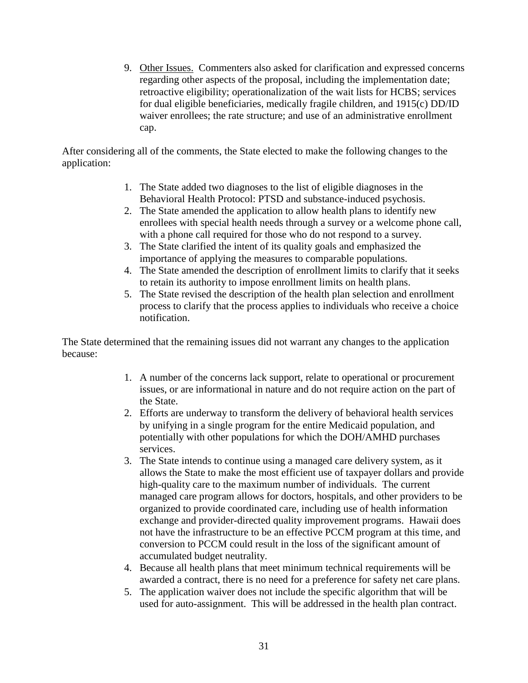9. Other Issues.Commenters also asked for clarification and expressed concerns regarding other aspects of the proposal, including the implementation date; retroactive eligibility; operationalization of the wait lists for HCBS; services for dual eligible beneficiaries, medically fragile children, and 1915(c) DD/ID waiver enrollees; the rate structure; and use of an administrative enrollment cap.

After considering all of the comments, the State elected to make the following changes to the application:

- 1. The State added two diagnoses to the list of eligible diagnoses in the Behavioral Health Protocol: PTSD and substance-induced psychosis.
- 2. The State amended the application to allow health plans to identify new enrollees with special health needs through a survey or a welcome phone call, with a phone call required for those who do not respond to a survey.
- 3. The State clarified the intent of its quality goals and emphasized the importance of applying the measures to comparable populations.
- 4. The State amended the description of enrollment limits to clarify that it seeks to retain its authority to impose enrollment limits on health plans.
- 5. The State revised the description of the health plan selection and enrollment process to clarify that the process applies to individuals who receive a choice notification.

The State determined that the remaining issues did not warrant any changes to the application because:

- 1. A number of the concerns lack support, relate to operational or procurement issues, or are informational in nature and do not require action on the part of the State.
- 2. Efforts are underway to transform the delivery of behavioral health services by unifying in a single program for the entire Medicaid population, and potentially with other populations for which the DOH/AMHD purchases services.
- 3. The State intends to continue using a managed care delivery system, as it allows the State to make the most efficient use of taxpayer dollars and provide high-quality care to the maximum number of individuals. The current managed care program allows for doctors, hospitals, and other providers to be organized to provide coordinated care, including use of health information exchange and provider-directed quality improvement programs. Hawaii does not have the infrastructure to be an effective PCCM program at this time, and conversion to PCCM could result in the loss of the significant amount of accumulated budget neutrality.
- 4. Because all health plans that meet minimum technical requirements will be awarded a contract, there is no need for a preference for safety net care plans.
- 5. The application waiver does not include the specific algorithm that will be used for auto-assignment. This will be addressed in the health plan contract.